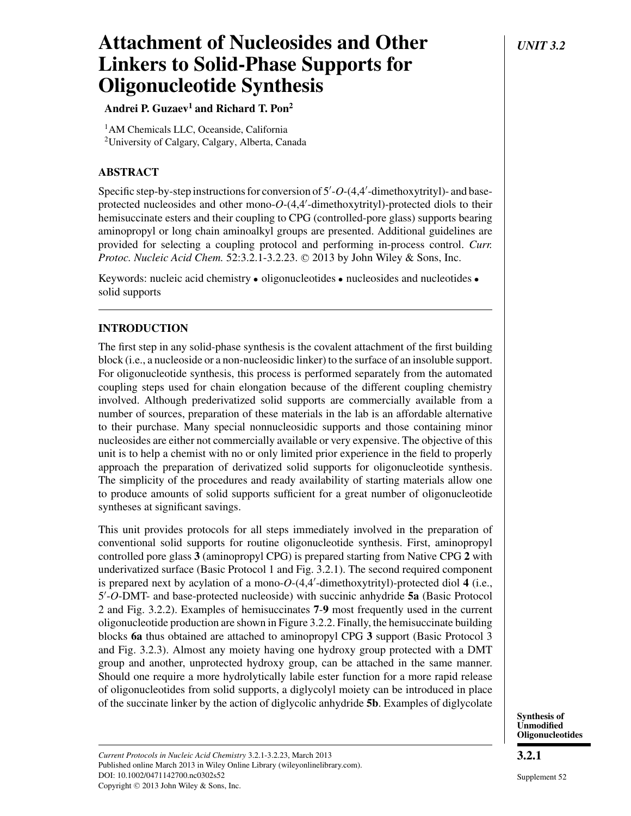# Attachment of Nucleosides and Other *UNIT 3.2* **Linkers to Solid-Phase Supports for Oligonucleotide Synthesis**

# Andrei P. Guzaev<sup>1</sup> and Richard T. Pon<sup>2</sup>

<sup>1</sup>AM Chemicals LLC, Oceanside, California 2University of Calgary, Calgary, Alberta, Canada

# **ABSTRACT**

Specific step-by-step instructions for conversion of 5'-O-(4,4'-dimethoxytrityl)- and baseprotected nucleosides and other mono-O-(4,4'-dimethoxytrityl)-protected diols to their hemisuccinate esters and their coupling to CPG (controlled-pore glass) supports bearing aminopropyl or long chain aminoalkyl groups are presented. Additional guidelines are provided for selecting a coupling protocol and performing in-process control. *Curr. Protoc. Nucleic Acid Chem.* 52:3.2.1-3.2.23. © 2013 by John Wiley & Sons, Inc.

Keywords: nucleic acid chemistry · oligonucleotides · nucleosides and nucleotides · solid supports

# **INTRODUCTION**

The first step in any solid-phase synthesis is the covalent attachment of the first building block (i.e., a nucleoside or a non-nucleosidic linker) to the surface of an insoluble support. For oligonucleotide synthesis, this process is performed separately from the automated coupling steps used for chain elongation because of the different coupling chemistry involved. Although prederivatized solid supports are commercially available from a number of sources, preparation of these materials in the lab is an affordable alternative to their purchase. Many special nonnucleosidic supports and those containing minor nucleosides are either not commercially available or very expensive. The objective of this unit is to help a chemist with no or only limited prior experience in the field to properly approach the preparation of derivatized solid supports for oligonucleotide synthesis. The simplicity of the procedures and ready availability of starting materials allow one to produce amounts of solid supports sufficient for a great number of oligonucleotide syntheses at significant savings.

This unit provides protocols for all steps immediately involved in the preparation of conventional solid supports for routine oligonucleotide synthesis. First, aminopropyl controlled pore glass **3** (aminopropyl CPG) is prepared starting from Native CPG **2** with underivatized surface (Basic Protocol 1 and Fig. 3.2.1). The second required component is prepared next by acylation of a mono-O-(4,4'-dimethoxytrityl)-protected diol 4 (i.e., 5- -*O*-DMT- and base-protected nucleoside) with succinic anhydride **5a** (Basic Protocol 2 and Fig. 3.2.2). Examples of hemisuccinates **7**-**9** most frequently used in the current oligonucleotide production are shown in Figure 3.2.2. Finally, the hemisuccinate building blocks **6a** thus obtained are attached to aminopropyl CPG **3** support (Basic Protocol 3 and Fig. 3.2.3). Almost any moiety having one hydroxy group protected with a DMT group and another, unprotected hydroxy group, can be attached in the same manner. Should one require a more hydrolytically labile ester function for a more rapid release of oligonucleotides from solid supports, a diglycolyl moiety can be introduced in place of the succinate linker by the action of diglycolic anhydride **5b**. Examples of diglycolate

> **Synthesis of Unmodified Oligonucleotides**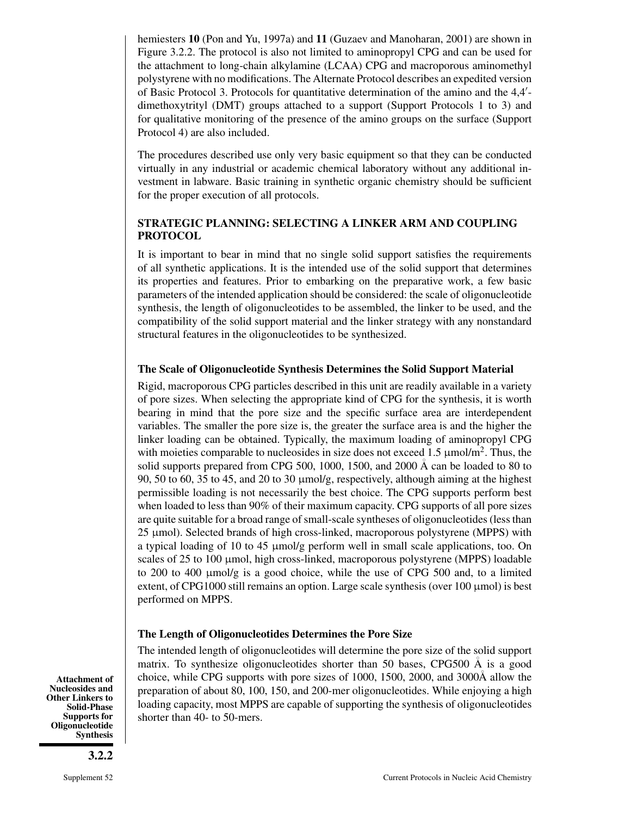hemiesters **10** (Pon and Yu, 1997a) and **11** (Guzaev and Manoharan, 2001) are shown in Figure 3.2.2. The protocol is also not limited to aminopropyl CPG and can be used for the attachment to long-chain alkylamine (LCAA) CPG and macroporous aminomethyl polystyrene with no modifications. The Alternate Protocol describes an expedited version of Basic Protocol 3. Protocols for quantitative determination of the amino and the 4,4'dimethoxytrityl (DMT) groups attached to a support (Support Protocols 1 to 3) and for qualitative monitoring of the presence of the amino groups on the surface (Support Protocol 4) are also included.

The procedures described use only very basic equipment so that they can be conducted virtually in any industrial or academic chemical laboratory without any additional investment in labware. Basic training in synthetic organic chemistry should be sufficient for the proper execution of all protocols.

# **STRATEGIC PLANNING: SELECTING A LINKER ARM AND COUPLING PROTOCOL**

It is important to bear in mind that no single solid support satisfies the requirements of all synthetic applications. It is the intended use of the solid support that determines its properties and features. Prior to embarking on the preparative work, a few basic parameters of the intended application should be considered: the scale of oligonucleotide synthesis, the length of oligonucleotides to be assembled, the linker to be used, and the compatibility of the solid support material and the linker strategy with any nonstandard structural features in the oligonucleotides to be synthesized.

# **The Scale of Oligonucleotide Synthesis Determines the Solid Support Material**

Rigid, macroporous CPG particles described in this unit are readily available in a variety of pore sizes. When selecting the appropriate kind of CPG for the synthesis, it is worth bearing in mind that the pore size and the specific surface area are interdependent variables. The smaller the pore size is, the greater the surface area is and the higher the linker loading can be obtained. Typically, the maximum loading of aminopropyl CPG with moieties comparable to nucleosides in size does not exceed 1.5  $\mu$ mol/m<sup>2</sup>. Thus, the solid supports prepared from CPG 500, 1000, 1500, and 2000  $\AA$  can be loaded to 80 to 90, 50 to 60, 35 to 45, and 20 to 30 μmol/g, respectively, although aiming at the highest permissible loading is not necessarily the best choice. The CPG supports perform best when loaded to less than 90% of their maximum capacity. CPG supports of all pore sizes are quite suitable for a broad range of small-scale syntheses of oligonucleotides (less than 25 μmol). Selected brands of high cross-linked, macroporous polystyrene (MPPS) with a typical loading of 10 to 45 μmol/g perform well in small scale applications, too. On scales of 25 to 100 μmol, high cross-linked, macroporous polystyrene (MPPS) loadable to 200 to 400 μmol/g is a good choice, while the use of CPG 500 and, to a limited extent, of CPG1000 still remains an option. Large scale synthesis (over 100 μmol) is best performed on MPPS.

## **The Length of Oligonucleotides Determines the Pore Size**

The intended length of oligonucleotides will determine the pore size of the solid support matrix. To synthesize oligonucleotides shorter than 50 bases, CPG500  $\AA$  is a good choice, while CPG supports with pore sizes of 1000, 1500, 2000, and 3000 $\AA$  allow the preparation of about 80, 100, 150, and 200-mer oligonucleotides. While enjoying a high loading capacity, most MPPS are capable of supporting the synthesis of oligonucleotides shorter than 40- to 50-mers.

**Attachment of Nucleosides and Other Linkers to Solid-Phase Supports for Oligonucleotide Synthesis**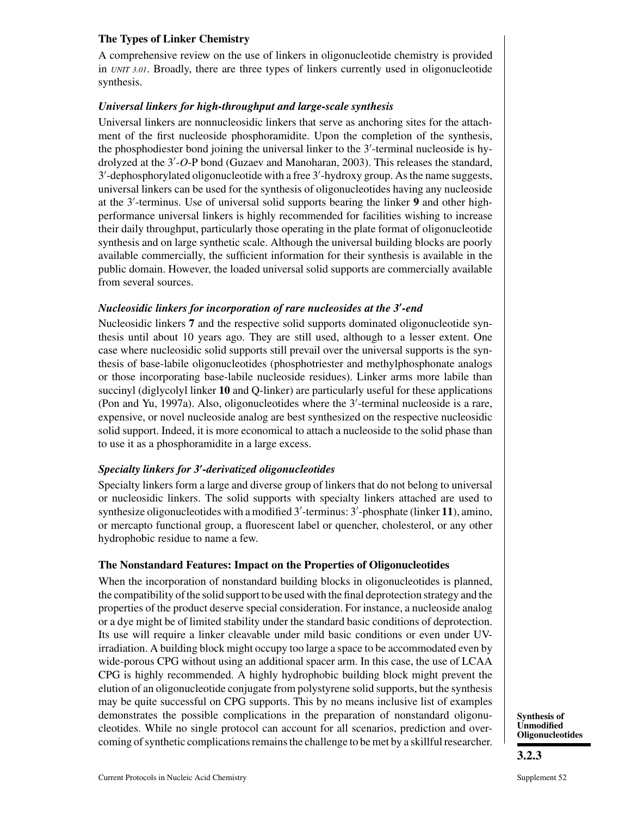# **The Types of Linker Chemistry**

A comprehensive review on the use of linkers in oligonucleotide chemistry is provided in *UNIT 3.01*. Broadly, there are three types of linkers currently used in oligonucleotide synthesis.

# *Universal linkers for high-throughput and large-scale synthesis*

Universal linkers are nonnucleosidic linkers that serve as anchoring sites for the attachment of the first nucleoside phosphoramidite. Upon the completion of the synthesis, the phosphodiester bond joining the universal linker to the 3'-terminal nucleoside is hydrolyzed at the 3'-O-P bond (Guzaev and Manoharan, 2003). This releases the standard, 3'-dephosphorylated oligonucleotide with a free 3'-hydroxy group. As the name suggests, universal linkers can be used for the synthesis of oligonucleotides having any nucleoside at the 3'-terminus. Use of universal solid supports bearing the linker 9 and other highperformance universal linkers is highly recommended for facilities wishing to increase their daily throughput, particularly those operating in the plate format of oligonucleotide synthesis and on large synthetic scale. Although the universal building blocks are poorly available commercially, the sufficient information for their synthesis is available in the public domain. However, the loaded universal solid supports are commercially available from several sources.

# *Nucleosidic linkers for incorporation of rare nucleosides at the 3***-** *-end*

Nucleosidic linkers **7** and the respective solid supports dominated oligonucleotide synthesis until about 10 years ago. They are still used, although to a lesser extent. One case where nucleosidic solid supports still prevail over the universal supports is the synthesis of base-labile oligonucleotides (phosphotriester and methylphosphonate analogs or those incorporating base-labile nucleoside residues). Linker arms more labile than succinyl (diglycolyl linker **10** and Q-linker) are particularly useful for these applications (Pon and Yu, 1997a). Also, oligonucleotides where the 3'-terminal nucleoside is a rare, expensive, or novel nucleoside analog are best synthesized on the respective nucleosidic solid support. Indeed, it is more economical to attach a nucleoside to the solid phase than to use it as a phosphoramidite in a large excess.

# **Specialty linkers for 3'-derivatized oligonucleotides**

Specialty linkers form a large and diverse group of linkers that do not belong to universal or nucleosidic linkers. The solid supports with specialty linkers attached are used to synthesize oligonucleotides with a modified 3'-terminus: 3'-phosphate (linker 11), amino, or mercapto functional group, a fluorescent label or quencher, cholesterol, or any other hydrophobic residue to name a few.

# **The Nonstandard Features: Impact on the Properties of Oligonucleotides**

When the incorporation of nonstandard building blocks in oligonucleotides is planned, the compatibility of the solid support to be used with the final deprotection strategy and the properties of the product deserve special consideration. For instance, a nucleoside analog or a dye might be of limited stability under the standard basic conditions of deprotection. Its use will require a linker cleavable under mild basic conditions or even under UVirradiation. A building block might occupy too large a space to be accommodated even by wide-porous CPG without using an additional spacer arm. In this case, the use of LCAA CPG is highly recommended. A highly hydrophobic building block might prevent the elution of an oligonucleotide conjugate from polystyrene solid supports, but the synthesis may be quite successful on CPG supports. This by no means inclusive list of examples demonstrates the possible complications in the preparation of nonstandard oligonucleotides. While no single protocol can account for all scenarios, prediction and overcoming of synthetic complications remains the challenge to be met by a skillful researcher.

**Synthesis of Unmodified Oligonucleotides**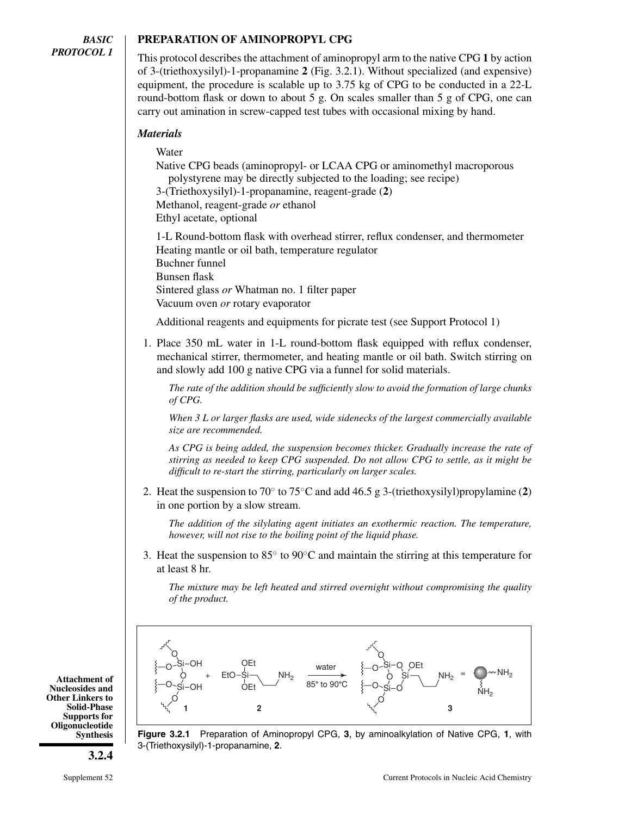# **PREPARATION OF AMINOPROPYL CPG**

This protocol describes the attachment of aminopropyl arm to the native CPG **1** by action of 3-(triethoxysilyl)-1-propanamine **2** (Fig. 3.2.1). Without specialized (and expensive) equipment, the procedure is scalable up to 3.75 kg of CPG to be conducted in a 22-L round-bottom flask or down to about 5 g. On scales smaller than 5 g of CPG, one can carry out amination in screw-capped test tubes with occasional mixing by hand.

#### *Materials*

## Water

Native CPG beads (aminopropyl- or LCAA CPG or aminomethyl macroporous polystyrene may be directly subjected to the loading; see recipe)

3-(Triethoxysilyl)-1-propanamine, reagent-grade (**2**)

Methanol, reagent-grade *or* ethanol

Ethyl acetate, optional

1-L Round-bottom flask with overhead stirrer, reflux condenser, and thermometer Heating mantle or oil bath, temperature regulator Buchner funnel

Bunsen flask

Sintered glass *or* Whatman no. 1 filter paper Vacuum oven *or* rotary evaporator

Additional reagents and equipments for picrate test (see Support Protocol 1)

1. Place 350 mL water in 1-L round-bottom flask equipped with reflux condenser, mechanical stirrer, thermometer, and heating mantle or oil bath. Switch stirring on and slowly add 100 g native CPG via a funnel for solid materials.

*The rate of the addition should be sufficiently slow to avoid the formation of large chunks of CPG.*

*When 3 L or larger flasks are used, wide sidenecks of the largest commercially available size are recommended.*

*As CPG is being added, the suspension becomes thicker. Gradually increase the rate of stirring as needed to keep CPG suspended. Do not allow CPG to settle, as it might be difficult to re-start the stirring, particularly on larger scales.*

2. Heat the suspension to 70◦ to 75◦C and add 46.5 g 3-(triethoxysilyl)propylamine (**2**) in one portion by a slow stream.

*The addition of the silylating agent initiates an exothermic reaction. The temperature, however, will not rise to the boiling point of the liquid phase.*

3. Heat the suspension to 85 $\degree$  to 90 $\degree$ C and maintain the stirring at this temperature for at least 8 hr.

*The mixture may be left heated and stirred overnight without compromising the quality of the product.*



**Figure 3.2.1** Preparation of Aminopropyl CPG, **3**, by aminoalkylation of Native CPG, **1**, with 3-(Triethoxysilyl)-1-propanamine, **2**.

**Attachment of Nucleosides and Other Linkers to Solid-Phase Supports for Oligonucleotide Synthesis**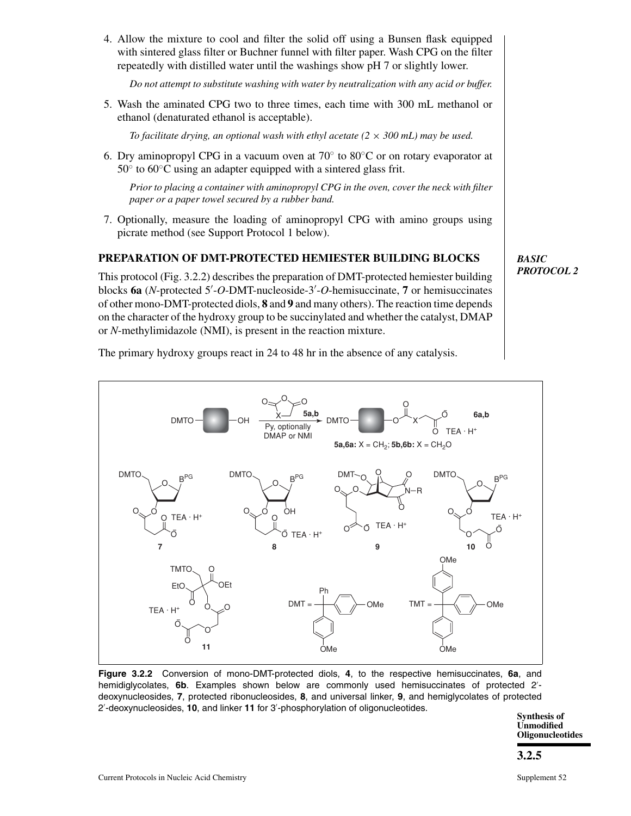- 4. Allow the mixture to cool and filter the solid off using a Bunsen flask equipped with sintered glass filter or Buchner funnel with filter paper. Wash CPG on the filter repeatedly with distilled water until the washings show pH 7 or slightly lower. *Do not attempt to substitute washing with water by neutralization with any acid or buffer.* 5. Wash the aminated CPG two to three times, each time with 300 mL methanol or ethanol (denaturated ethanol is acceptable). *To facilitate drying, an optional wash with ethyl acetate*  $(2 \times 300 \text{ mL})$  *may be used.* 6. Dry aminopropyl CPG in a vacuum oven at 70◦ to 80◦C or on rotary evaporator at 50° to 60°C using an adapter equipped with a sintered glass frit. *Prior to placing a container with aminopropyl CPG in the oven, cover the neck with filter paper or a paper towel secured by a rubber band.*
- 7. Optionally, measure the loading of aminopropyl CPG with amino groups using picrate method (see Support Protocol 1 below).

# **PREPARATION OF DMT-PROTECTED HEMIESTER BUILDING BLOCKS**

This protocol (Fig. 3.2.2) describes the preparation of DMT-protected hemiester building blocks 6a (*N*-protected 5'-O-DMT-nucleoside-3'-O-hemisuccinate, 7 or hemisuccinates of other mono-DMT-protected diols, **8** and **9** and many others). The reaction time depends on the character of the hydroxy group to be succinylated and whether the catalyst, DMAP or *N*-methylimidazole (NMI), is present in the reaction mixture.

The primary hydroxy groups react in 24 to 48 hr in the absence of any catalysis.



**Figure 3.2.2** Conversion of mono-DMT-protected diols, **4**, to the respective hemisuccinates, **6a**, and hemidiglycolates, 6b. Examples shown below are commonly used hemisuccinates of protected 2'deoxynucleosides, **7**, protected ribonucleosides, **8**, and universal linker, **9**, and hemiglycolates of protected 2- -deoxynucleosides, **10**, and linker **11** for 3- -phosphorylation of oligonucleotides.

**Synthesis of Unmodified Oligonucleotides**

*BASIC PROTOCOL 2*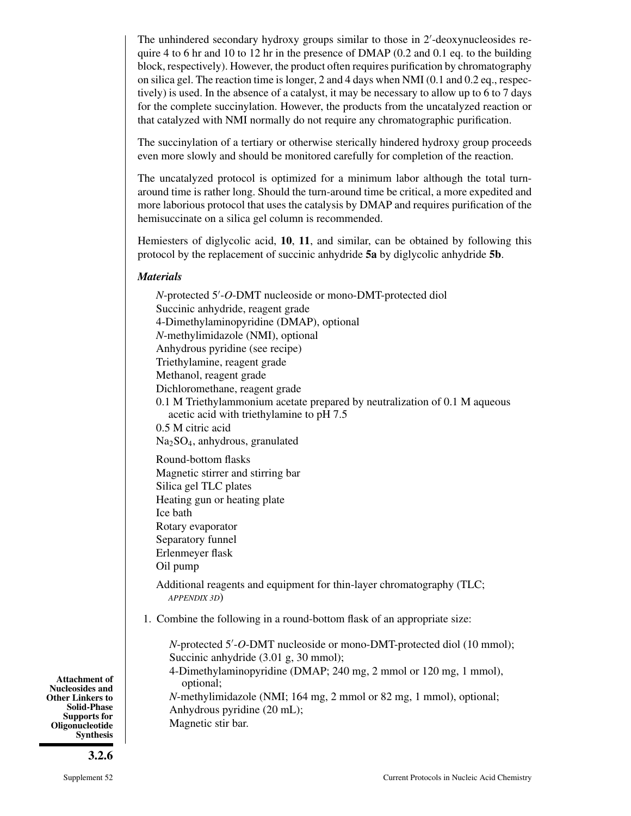The unhindered secondary hydroxy groups similar to those in 2'-deoxynucleosides require 4 to 6 hr and 10 to 12 hr in the presence of DMAP ( $0.2$  and  $0.1$  eq. to the building block, respectively). However, the product often requires purification by chromatography on silica gel. The reaction time is longer, 2 and 4 days when NMI (0.1 and 0.2 eq., respectively) is used. In the absence of a catalyst, it may be necessary to allow up to 6 to 7 days for the complete succinylation. However, the products from the uncatalyzed reaction or that catalyzed with NMI normally do not require any chromatographic purification.

The succinylation of a tertiary or otherwise sterically hindered hydroxy group proceeds even more slowly and should be monitored carefully for completion of the reaction.

The uncatalyzed protocol is optimized for a minimum labor although the total turnaround time is rather long. Should the turn-around time be critical, a more expedited and more laborious protocol that uses the catalysis by DMAP and requires purification of the hemisuccinate on a silica gel column is recommended.

Hemiesters of diglycolic acid, **10**, **11**, and similar, can be obtained by following this protocol by the replacement of succinic anhydride **5a** by diglycolic anhydride **5b**.

## *Materials*

N-protected 5'-O-DMT nucleoside or mono-DMT-protected diol Succinic anhydride, reagent grade 4-Dimethylaminopyridine (DMAP), optional *N*-methylimidazole (NMI), optional Anhydrous pyridine (see recipe) Triethylamine, reagent grade Methanol, reagent grade Dichloromethane, reagent grade 0.1 M Triethylammonium acetate prepared by neutralization of 0.1 M aqueous acetic acid with triethylamine to pH 7.5 0.5 M citric acid Na2SO4, anhydrous, granulated Round-bottom flasks Magnetic stirrer and stirring bar Silica gel TLC plates Heating gun or heating plate Ice bath Rotary evaporator Separatory funnel Erlenmeyer flask Oil pump

Additional reagents and equipment for thin-layer chromatography (TLC; *APPENDIX 3D*)

1. Combine the following in a round-bottom flask of an appropriate size:

N-protected 5'-O-DMT nucleoside or mono-DMT-protected diol (10 mmol); Succinic anhydride (3.01 g, 30 mmol);

4-Dimethylaminopyridine (DMAP; 240 mg, 2 mmol or 120 mg, 1 mmol), optional;

*N*-methylimidazole (NMI; 164 mg, 2 mmol or 82 mg, 1 mmol), optional; Anhydrous pyridine (20 mL); Magnetic stir bar.

**Attachment of Nucleosides and Other Linkers to Solid-Phase Supports for Oligonucleotide Synthesis**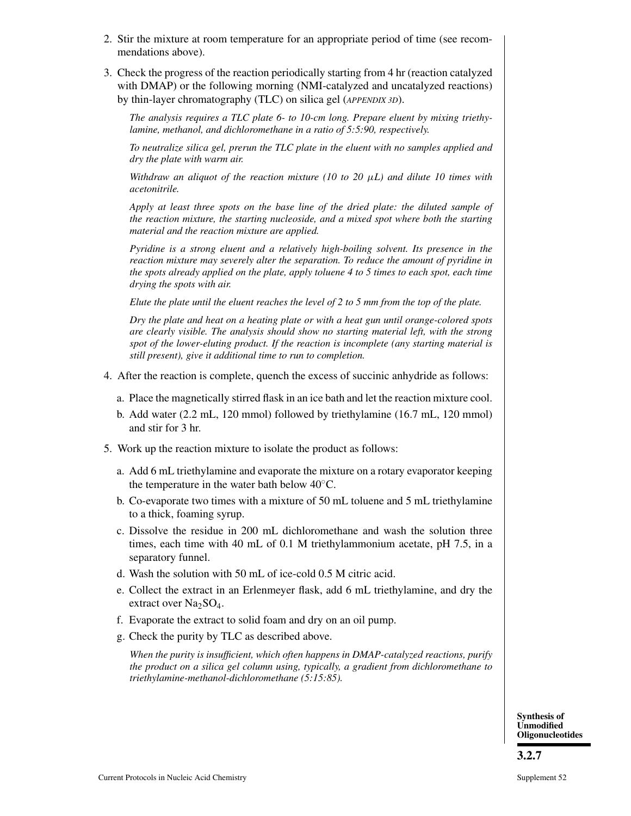- 2. Stir the mixture at room temperature for an appropriate period of time (see recommendations above).
- 3. Check the progress of the reaction periodically starting from 4 hr (reaction catalyzed with DMAP) or the following morning (NMI-catalyzed and uncatalyzed reactions) by thin-layer chromatography (TLC) on silica gel (*APPENDIX 3D*).

*The analysis requires a TLC plate 6- to 10-cm long. Prepare eluent by mixing triethylamine, methanol, and dichloromethane in a ratio of 5:5:90, respectively.*

*To neutralize silica gel, prerun the TLC plate in the eluent with no samples applied and dry the plate with warm air.*

*Withdraw an aliquot of the reaction mixture (10 to 20* μ*L) and dilute 10 times with acetonitrile.*

*Apply at least three spots on the base line of the dried plate: the diluted sample of the reaction mixture, the starting nucleoside, and a mixed spot where both the starting material and the reaction mixture are applied.*

*Pyridine is a strong eluent and a relatively high-boiling solvent. Its presence in the reaction mixture may severely alter the separation. To reduce the amount of pyridine in the spots already applied on the plate, apply toluene 4 to 5 times to each spot, each time drying the spots with air.*

*Elute the plate until the eluent reaches the level of 2 to 5 mm from the top of the plate.*

*Dry the plate and heat on a heating plate or with a heat gun until orange-colored spots are clearly visible. The analysis should show no starting material left, with the strong spot of the lower-eluting product. If the reaction is incomplete (any starting material is still present), give it additional time to run to completion.*

- 4. After the reaction is complete, quench the excess of succinic anhydride as follows:
	- a. Place the magnetically stirred flask in an ice bath and let the reaction mixture cool.
	- b. Add water (2.2 mL, 120 mmol) followed by triethylamine (16.7 mL, 120 mmol) and stir for 3 hr.
- 5. Work up the reaction mixture to isolate the product as follows:
	- a. Add 6 mL triethylamine and evaporate the mixture on a rotary evaporator keeping the temperature in the water bath below  $40^{\circ}$ C.
	- b. Co-evaporate two times with a mixture of 50 mL toluene and 5 mL triethylamine to a thick, foaming syrup.
	- c. Dissolve the residue in 200 mL dichloromethane and wash the solution three times, each time with 40 mL of 0.1 M triethylammonium acetate, pH 7.5, in a separatory funnel.
	- d. Wash the solution with 50 mL of ice-cold 0.5 M citric acid.
	- e. Collect the extract in an Erlenmeyer flask, add 6 mL triethylamine, and dry the extract over  $Na<sub>2</sub>SO<sub>4</sub>$ .
	- f. Evaporate the extract to solid foam and dry on an oil pump.
	- g. Check the purity by TLC as described above.

*When the purity is insufficient, which often happens in DMAP-catalyzed reactions, purify the product on a silica gel column using, typically, a gradient from dichloromethane to triethylamine-methanol-dichloromethane (5:15:85).*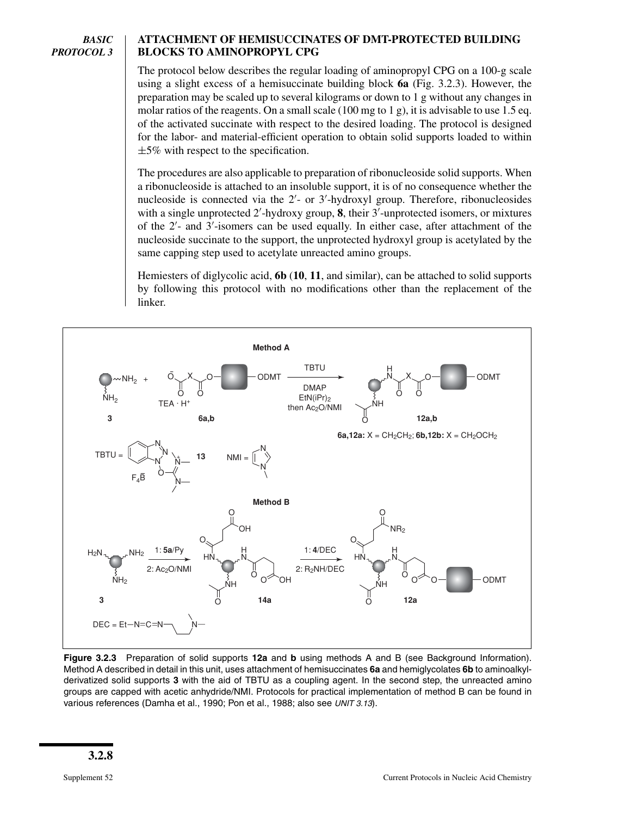## *BASIC PROTOCOL 3*

# **ATTACHMENT OF HEMISUCCINATES OF DMT-PROTECTED BUILDING BLOCKS TO AMINOPROPYL CPG**

The protocol below describes the regular loading of aminopropyl CPG on a 100-g scale using a slight excess of a hemisuccinate building block **6a** (Fig. 3.2.3). However, the preparation may be scaled up to several kilograms or down to 1 g without any changes in molar ratios of the reagents. On a small scale  $(100 \text{ mg to } 1 \text{ g})$ , it is advisable to use 1.5 eq. of the activated succinate with respect to the desired loading. The protocol is designed for the labor- and material-efficient operation to obtain solid supports loaded to within  $\pm$ 5% with respect to the specification.

The procedures are also applicable to preparation of ribonucleoside solid supports. When a ribonucleoside is attached to an insoluble support, it is of no consequence whether the nucleoside is connected via the 2'- or 3'-hydroxyl group. Therefore, ribonucleosides with a single unprotected 2'-hydroxy group, 8, their 3'-unprotected isomers, or mixtures of the 2'- and 3'-isomers can be used equally. In either case, after attachment of the nucleoside succinate to the support, the unprotected hydroxyl group is acetylated by the same capping step used to acetylate unreacted amino groups.

Hemiesters of diglycolic acid, **6b** (**10**, **11**, and similar), can be attached to solid supports by following this protocol with no modifications other than the replacement of the linker.



**Figure 3.2.3** Preparation of solid supports **12a** and **b** using methods A and B (see Background Information). Method A described in detail in this unit, uses attachment of hemisuccinates **6a** and hemiglycolates **6b** to aminoalkylderivatized solid supports **3** with the aid of TBTU as a coupling agent. In the second step, the unreacted amino groups are capped with acetic anhydride/NMI. Protocols for practical implementation of method B can be found in various references (Damha et al., 1990; Pon et al., 1988; also see UNIT 3.13).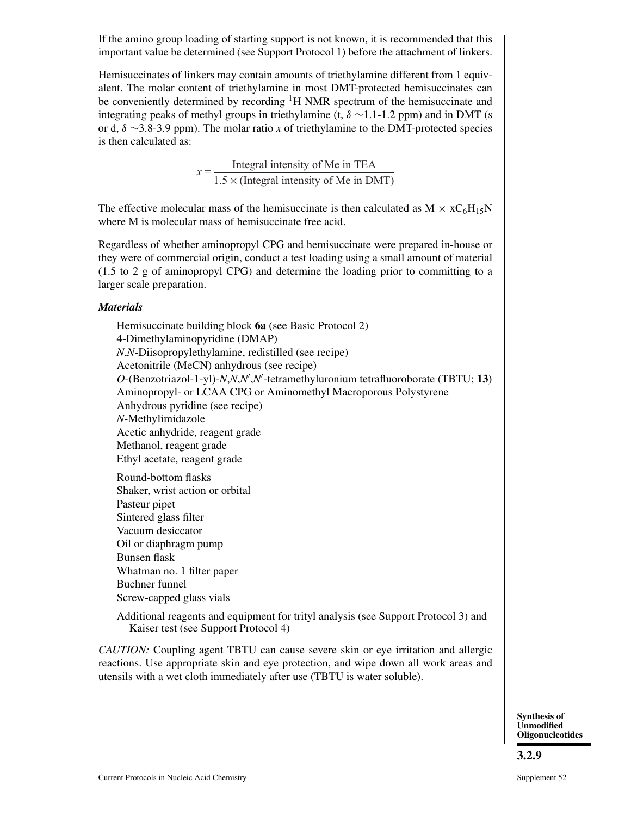If the amino group loading of starting support is not known, it is recommended that this important value be determined (see Support Protocol 1) before the attachment of linkers.

Hemisuccinates of linkers may contain amounts of triethylamine different from 1 equivalent. The molar content of triethylamine in most DMT-protected hemisuccinates can be conveniently determined by recording <sup>1</sup>H NMR spectrum of the hemisuccinate and integrating peaks of methyl groups in triethylamine (t,  $\delta \sim 1.1$ -1.2 ppm) and in DMT (s or d, δ ∼3.8-3.9 ppm). The molar ratio *x* of triethylamine to the DMT-protected species is then calculated as:

> $x =$  Integral intensity of Me in TEA  $1.5 \times$  (Integral intensity of Me in DMT)

The effective molecular mass of the hemisuccinate is then calculated as  $M \times xC_6H_{15}N$ where M is molecular mass of hemisuccinate free acid.

Regardless of whether aminopropyl CPG and hemisuccinate were prepared in-house or they were of commercial origin, conduct a test loading using a small amount of material (1.5 to 2 g of aminopropyl CPG) and determine the loading prior to committing to a larger scale preparation.

## *Materials*

Hemisuccinate building block **6a** (see Basic Protocol 2) 4-Dimethylaminopyridine (DMAP) *N*,*N*-Diisopropylethylamine, redistilled (see recipe) Acetonitrile (MeCN) anhydrous (see recipe) *O*-(Benzotriazol-1-yl)-*N*,*N*,*N*- ,*N*- -tetramethyluronium tetrafluoroborate (TBTU; **13**) Aminopropyl- or LCAA CPG or Aminomethyl Macroporous Polystyrene Anhydrous pyridine (see recipe) *N*-Methylimidazole Acetic anhydride, reagent grade Methanol, reagent grade Ethyl acetate, reagent grade

Round-bottom flasks Shaker, wrist action or orbital Pasteur pipet Sintered glass filter Vacuum desiccator Oil or diaphragm pump Bunsen flask Whatman no. 1 filter paper Buchner funnel Screw-capped glass vials

Additional reagents and equipment for trityl analysis (see Support Protocol 3) and Kaiser test (see Support Protocol 4)

*CAUTION:* Coupling agent TBTU can cause severe skin or eye irritation and allergic reactions. Use appropriate skin and eye protection, and wipe down all work areas and utensils with a wet cloth immediately after use (TBTU is water soluble).

> **Synthesis of Unmodified Oligonucleotides**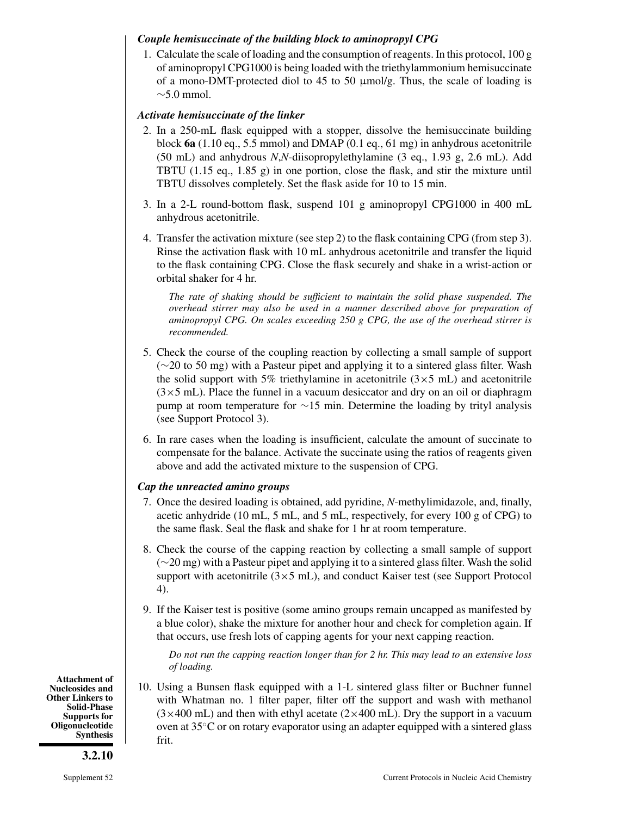## *Couple hemisuccinate of the building block to aminopropyl CPG*

1. Calculate the scale of loading and the consumption of reagents. In this protocol, 100 g of aminopropyl CPG1000 is being loaded with the triethylammonium hemisuccinate of a mono-DMT-protected diol to 45 to 50  $\mu$ mol/g. Thus, the scale of loading is  $\sim$ 5.0 mmol.

# *Activate hemisuccinate of the linker*

- 2. In a 250-mL flask equipped with a stopper, dissolve the hemisuccinate building block **6a** (1.10 eq., 5.5 mmol) and DMAP (0.1 eq., 61 mg) in anhydrous acetonitrile (50 mL) and anhydrous *N*,*N*-diisopropylethylamine (3 eq., 1.93 g, 2.6 mL). Add TBTU (1.15 eq., 1.85 g) in one portion, close the flask, and stir the mixture until TBTU dissolves completely. Set the flask aside for 10 to 15 min.
- 3. In a 2-L round-bottom flask, suspend 101 g aminopropyl CPG1000 in 400 mL anhydrous acetonitrile.
- 4. Transfer the activation mixture (see step 2) to the flask containing CPG (from step 3). Rinse the activation flask with 10 mL anhydrous acetonitrile and transfer the liquid to the flask containing CPG. Close the flask securely and shake in a wrist-action or orbital shaker for 4 hr.

*The rate of shaking should be sufficient to maintain the solid phase suspended. The overhead stirrer may also be used in a manner described above for preparation of aminopropyl CPG. On scales exceeding 250 g CPG, the use of the overhead stirrer is recommended.*

- 5. Check the course of the coupling reaction by collecting a small sample of support (∼20 to 50 mg) with a Pasteur pipet and applying it to a sintered glass filter. Wash the solid support with 5% triethylamine in acetonitrile  $(3 \times 5 \text{ mL})$  and acetonitrile  $(3\times5 \text{ mL})$ . Place the funnel in a vacuum desiccator and dry on an oil or diaphragm pump at room temperature for ∼15 min. Determine the loading by trityl analysis (see Support Protocol 3).
- 6. In rare cases when the loading is insufficient, calculate the amount of succinate to compensate for the balance. Activate the succinate using the ratios of reagents given above and add the activated mixture to the suspension of CPG.

# *Cap the unreacted amino groups*

- 7. Once the desired loading is obtained, add pyridine, *N*-methylimidazole, and, finally, acetic anhydride (10 mL, 5 mL, and 5 mL, respectively, for every 100 g of CPG) to the same flask. Seal the flask and shake for 1 hr at room temperature.
- 8. Check the course of the capping reaction by collecting a small sample of support (∼20 mg) with a Pasteur pipet and applying it to a sintered glass filter. Wash the solid support with acetonitrile  $(3 \times 5 \text{ mL})$ , and conduct Kaiser test (see Support Protocol 4).
- 9. If the Kaiser test is positive (some amino groups remain uncapped as manifested by a blue color), shake the mixture for another hour and check for completion again. If that occurs, use fresh lots of capping agents for your next capping reaction.

*Do not run the capping reaction longer than for 2 hr. This may lead to an extensive loss of loading.*

10. Using a Bunsen flask equipped with a 1-L sintered glass filter or Buchner funnel with Whatman no. 1 filter paper, filter off the support and wash with methanol  $(3\times400 \text{ mL})$  and then with ethyl acetate  $(2\times400 \text{ mL})$ . Dry the support in a vacuum oven at 35◦C or on rotary evaporator using an adapter equipped with a sintered glass frit.

**Attachment of Nucleosides and Other Linkers to Solid-Phase Supports for Oligonucleotide Synthesis**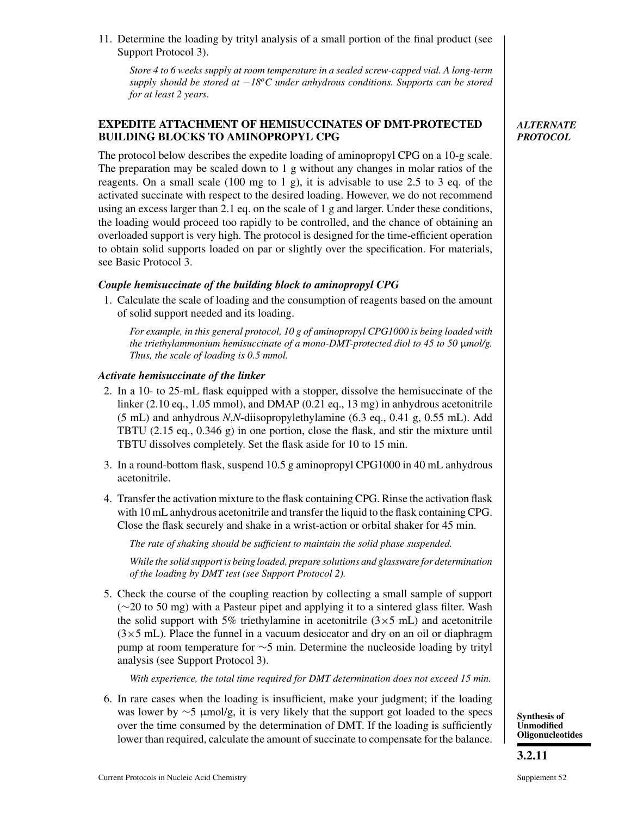11. Determine the loading by trityl analysis of a small portion of the final product (see Support Protocol 3).

*Store 4 to 6 weeks supply at room temperature in a sealed screw-capped vial. A long-term supply should be stored at* <sup>−</sup>*18oC under anhydrous conditions. Supports can be stored for at least 2 years.*

# **EXPEDITE ATTACHMENT OF HEMISUCCINATES OF DMT-PROTECTED BUILDING BLOCKS TO AMINOPROPYL CPG**

The protocol below describes the expedite loading of aminopropyl CPG on a 10-g scale. The preparation may be scaled down to  $1 \text{ g}$  without any changes in molar ratios of the reagents. On a small scale (100 mg to 1 g), it is advisable to use 2.5 to 3 eq. of the activated succinate with respect to the desired loading. However, we do not recommend using an excess larger than 2.1 eq. on the scale of 1 g and larger. Under these conditions, the loading would proceed too rapidly to be controlled, and the chance of obtaining an overloaded support is very high. The protocol is designed for the time-efficient operation to obtain solid supports loaded on par or slightly over the specification. For materials, see Basic Protocol 3.

# *Couple hemisuccinate of the building block to aminopropyl CPG*

1. Calculate the scale of loading and the consumption of reagents based on the amount of solid support needed and its loading.

*For example, in this general protocol, 10 g of aminopropyl CPG1000 is being loaded with the triethylammonium hemisuccinate of a mono-DMT-protected diol to 45 to 50* μ*mol/g. Thus, the scale of loading is 0.5 mmol.*

# *Activate hemisuccinate of the linker*

- 2. In a 10- to 25-mL flask equipped with a stopper, dissolve the hemisuccinate of the linker  $(2.10 \text{ eq.}, 1.05 \text{ mmol})$ , and DMAP  $(0.21 \text{ eq.}, 13 \text{ mg})$  in anhydrous acetonitrile (5 mL) and anhydrous *N*,*N*-diisopropylethylamine (6.3 eq., 0.41 g, 0.55 mL). Add TBTU (2.15 eq., 0.346 g) in one portion, close the flask, and stir the mixture until TBTU dissolves completely. Set the flask aside for 10 to 15 min.
- 3. In a round-bottom flask, suspend 10.5 g aminopropyl CPG1000 in 40 mL anhydrous acetonitrile.
- 4. Transfer the activation mixture to the flask containing CPG. Rinse the activation flask with 10 mL anhydrous acetonitrile and transfer the liquid to the flask containing CPG. Close the flask securely and shake in a wrist-action or orbital shaker for 45 min.

*The rate of shaking should be sufficient to maintain the solid phase suspended.*

*While the solid support is being loaded, prepare solutions and glassware for determination of the loading by DMT test (see Support Protocol 2).*

5. Check the course of the coupling reaction by collecting a small sample of support (∼20 to 50 mg) with a Pasteur pipet and applying it to a sintered glass filter. Wash the solid support with 5% triethylamine in acetonitrile  $(3\times5 \text{ mL})$  and acetonitrile  $(3\times5 \text{ mL})$ . Place the funnel in a vacuum desiccator and dry on an oil or diaphragm pump at room temperature for ∼5 min. Determine the nucleoside loading by trityl analysis (see Support Protocol 3).

*With experience, the total time required for DMT determination does not exceed 15 min.*

6. In rare cases when the loading is insufficient, make your judgment; if the loading was lower by  $\sim$ 5 μmol/g, it is very likely that the support got loaded to the specs over the time consumed by the determination of DMT. If the loading is sufficiently lower than required, calculate the amount of succinate to compensate for the balance.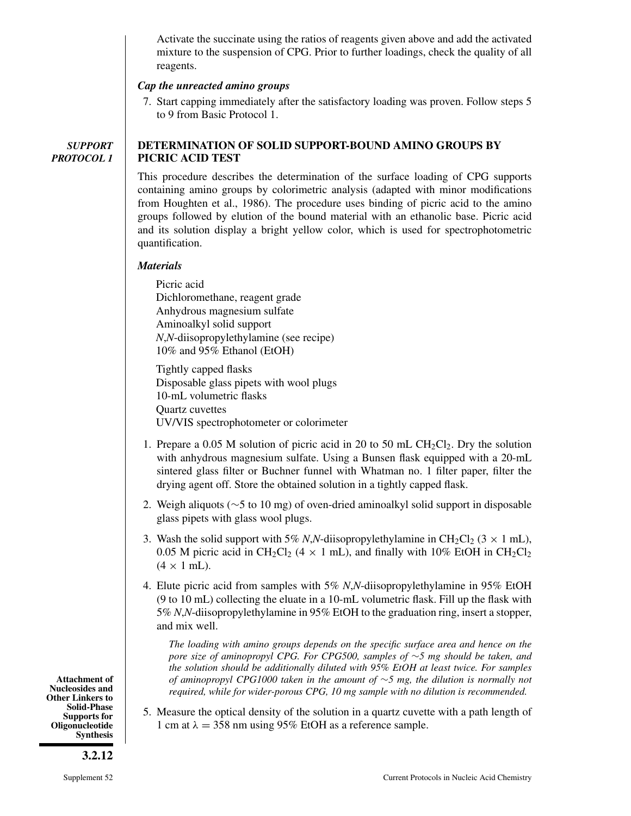Activate the succinate using the ratios of reagents given above and add the activated mixture to the suspension of CPG. Prior to further loadings, check the quality of all reagents.

## *Cap the unreacted amino groups*

7. Start capping immediately after the satisfactory loading was proven. Follow steps 5 to 9 from Basic Protocol 1.

#### *SUPPORT PROTOCOL 1*

## **DETERMINATION OF SOLID SUPPORT-BOUND AMINO GROUPS BY PICRIC ACID TEST**

This procedure describes the determination of the surface loading of CPG supports containing amino groups by colorimetric analysis (adapted with minor modifications from Houghten et al., 1986). The procedure uses binding of picric acid to the amino groups followed by elution of the bound material with an ethanolic base. Picric acid and its solution display a bright yellow color, which is used for spectrophotometric quantification.

## *Materials*

Picric acid Dichloromethane, reagent grade Anhydrous magnesium sulfate Aminoalkyl solid support *N*,*N*-diisopropylethylamine (see recipe) 10% and 95% Ethanol (EtOH)

Tightly capped flasks Disposable glass pipets with wool plugs 10-mL volumetric flasks Quartz cuvettes UV/VIS spectrophotometer or colorimeter

- 1. Prepare a 0.05 M solution of picric acid in 20 to 50 mL CH<sub>2</sub>Cl<sub>2</sub>. Dry the solution with anhydrous magnesium sulfate. Using a Bunsen flask equipped with a 20-mL sintered glass filter or Buchner funnel with Whatman no. 1 filter paper, filter the drying agent off. Store the obtained solution in a tightly capped flask.
- 2. Weigh aliquots (∼5 to 10 mg) of oven-dried aminoalkyl solid support in disposable glass pipets with glass wool plugs.
- 3. Wash the solid support with 5% *N*,*N*-diisopropylethylamine in CH<sub>2</sub>Cl<sub>2</sub> (3  $\times$  1 mL), 0.05 M picric acid in CH<sub>2</sub>Cl<sub>2</sub> (4  $\times$  1 mL), and finally with 10% EtOH in CH<sub>2</sub>Cl<sub>2</sub>  $(4 \times 1$  mL).
- 4. Elute picric acid from samples with 5% *N*,*N*-diisopropylethylamine in 95% EtOH (9 to 10 mL) collecting the eluate in a 10-mL volumetric flask. Fill up the flask with 5% *N*,*N*-diisopropylethylamine in 95% EtOH to the graduation ring, insert a stopper, and mix well.

*The loading with amino groups depends on the specific surface area and hence on the pore size of aminopropyl CPG. For CPG500, samples of* ∼*5 mg should be taken, and the solution should be additionally diluted with 95% EtOH at least twice. For samples of aminopropyl CPG1000 taken in the amount of* ∼*5 mg, the dilution is normally not required, while for wider-porous CPG, 10 mg sample with no dilution is recommended.*

5. Measure the optical density of the solution in a quartz cuvette with a path length of 1 cm at  $\lambda = 358$  nm using 95% EtOH as a reference sample.

**Attachment of Nucleosides and Other Linkers to Solid-Phase Supports for Oligonucleotide Synthesis**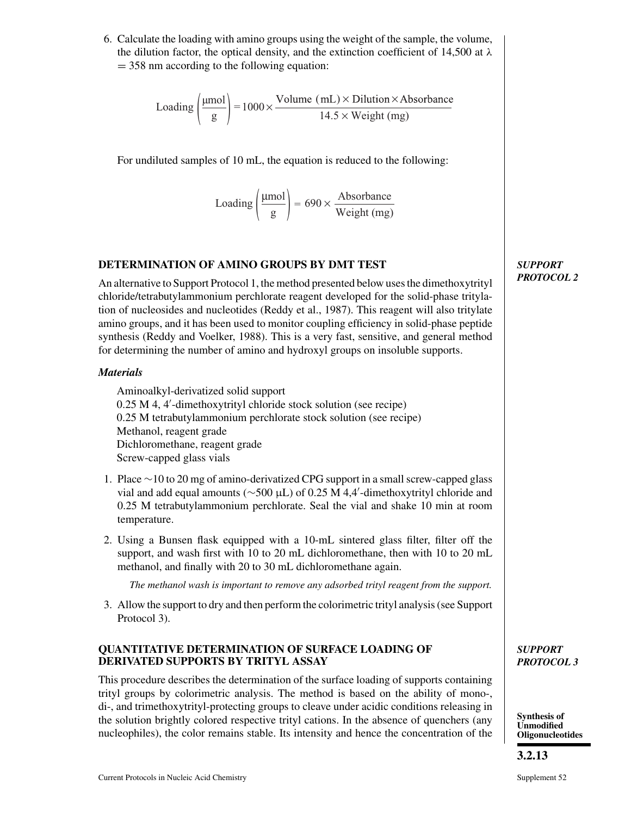6. Calculate the loading with amino groups using the weight of the sample, the volume, the dilution factor, the optical density, and the extinction coefficient of 14,500 at  $\lambda$  $=$  358 nm according to the following equation:

$$
\[\text{Loading} \left( \frac{\text{µmol}}{\text{g}} \right) = 1000 \times \frac{\text{Volume (mL)} \times \text{Dilution} \times \text{Absorbance}}{14.5 \times \text{Weight (mg)}}\]
$$

For undiluted samples of 10 mL, the equation is reduced to the following:

Loading  $\frac{\mu_{\text{mol}}}{\sigma_{\text{mol}}}$ g Absorbance  $\left(\frac{\mu n}{g}\right)$  = 690 ×  $\frac{\mu}{\text{Weight (mg)}}$ 

# **DETERMINATION OF AMINO GROUPS BY DMT TEST**

An alternative to Support Protocol 1, the method presented below uses the dimethoxytrityl chloride/tetrabutylammonium perchlorate reagent developed for the solid-phase tritylation of nucleosides and nucleotides (Reddy et al., 1987). This reagent will also tritylate amino groups, and it has been used to monitor coupling efficiency in solid-phase peptide synthesis (Reddy and Voelker, 1988). This is a very fast, sensitive, and general method for determining the number of amino and hydroxyl groups on insoluble supports.

## *Materials*

Aminoalkyl-derivatized solid support 0.25 M 4, 4- -dimethoxytrityl chloride stock solution (see recipe) 0.25 M tetrabutylammonium perchlorate stock solution (see recipe) Methanol, reagent grade Dichloromethane, reagent grade Screw-capped glass vials

- 1. Place ∼10 to 20 mg of amino-derivatized CPG support in a small screw-capped glass vial and add equal amounts ( $\sim$ 500 μL) of 0.25 M 4,4'-dimethoxytrityl chloride and 0.25 M tetrabutylammonium perchlorate. Seal the vial and shake 10 min at room temperature.
- 2. Using a Bunsen flask equipped with a 10-mL sintered glass filter, filter off the support, and wash first with 10 to 20 mL dichloromethane, then with 10 to 20 mL methanol, and finally with 20 to 30 mL dichloromethane again.

*The methanol wash is important to remove any adsorbed trityl reagent from the support.*

3. Allow the support to dry and then perform the colorimetric trityl analysis (see Support Protocol 3).

## **QUANTITATIVE DETERMINATION OF SURFACE LOADING OF DERIVATED SUPPORTS BY TRITYL ASSAY**

This procedure describes the determination of the surface loading of supports containing trityl groups by colorimetric analysis. The method is based on the ability of mono-, di-, and trimethoxytrityl-protecting groups to cleave under acidic conditions releasing in the solution brightly colored respective trityl cations. In the absence of quenchers (any nucleophiles), the color remains stable. Its intensity and hence the concentration of the *SUPPORT PROTOCOL 2*

*SUPPORT PROTOCOL 3*

**Synthesis of Unmodified Oligonucleotides**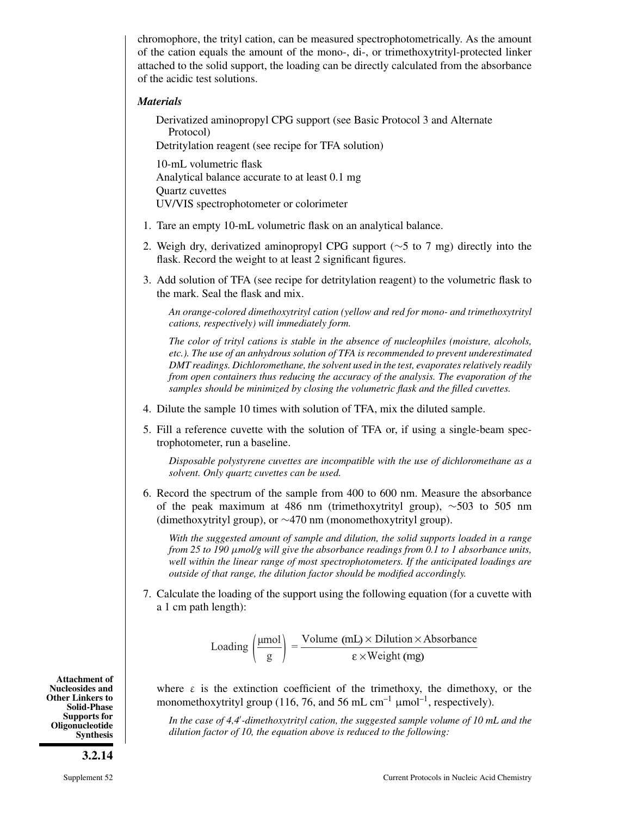chromophore, the trityl cation, can be measured spectrophotometrically. As the amount of the cation equals the amount of the mono-, di-, or trimethoxytrityl-protected linker attached to the solid support, the loading can be directly calculated from the absorbance of the acidic test solutions.

## *Materials*

Derivatized aminopropyl CPG support (see Basic Protocol 3 and Alternate Protocol)

Detritylation reagent (see recipe for TFA solution)

10-mL volumetric flask Analytical balance accurate to at least 0.1 mg Quartz cuvettes UV/VIS spectrophotometer or colorimeter

- 1. Tare an empty 10-mL volumetric flask on an analytical balance.
- 2. Weigh dry, derivatized aminopropyl CPG support (∼5 to 7 mg) directly into the flask. Record the weight to at least 2 significant figures.
- 3. Add solution of TFA (see recipe for detritylation reagent) to the volumetric flask to the mark. Seal the flask and mix.

*An orange-colored dimethoxytrityl cation (yellow and red for mono- and trimethoxytrityl cations, respectively) will immediately form.*

*The color of trityl cations is stable in the absence of nucleophiles (moisture, alcohols, etc.). The use of an anhydrous solution of TFA is recommended to prevent underestimated DMT readings. Dichloromethane, the solvent used in the test, evaporates relatively readily from open containers thus reducing the accuracy of the analysis. The evaporation of the samples should be minimized by closing the volumetric flask and the filled cuvettes.*

- 4. Dilute the sample 10 times with solution of TFA, mix the diluted sample.
- 5. Fill a reference cuvette with the solution of TFA or, if using a single-beam spectrophotometer, run a baseline.

*Disposable polystyrene cuvettes are incompatible with the use of dichloromethane as a solvent. Only quartz cuvettes can be used.*

6. Record the spectrum of the sample from 400 to 600 nm. Measure the absorbance of the peak maximum at 486 nm (trimethoxytrityl group), ∼503 to 505 nm (dimethoxytrityl group), or ∼470 nm (monomethoxytrityl group).

*With the suggested amount of sample and dilution, the solid supports loaded in a range from 25 to 190* μ*mol/g will give the absorbance readings from 0.1 to 1 absorbance units, well within the linear range of most spectrophotometers. If the anticipated loadings are outside of that range, the dilution factor should be modified accordingly.*

7. Calculate the loading of the support using the following equation (for a cuvette with a 1 cm path length):

$$
Loading \left(\frac{\mu mol}{g}\right) = \frac{Volume (mL) \times Dilution \times Absorbance}{\epsilon \times Weight (mg)}
$$

where  $\varepsilon$  is the extinction coefficient of the trimethoxy, the dimethoxy, or the monomethoxytrityl group (116, 76, and 56 mL cm<sup>-1</sup>  $\mu$ mol<sup>-1</sup>, respectively).

In the case of 4,4'-dimethoxytrityl cation, the suggested sample volume of 10 mL and the *dilution factor of 10, the equation above is reduced to the following:*

**Attachment of Nucleosides and Other Linkers to Solid-Phase Supports for Oligonucleotide Synthesis**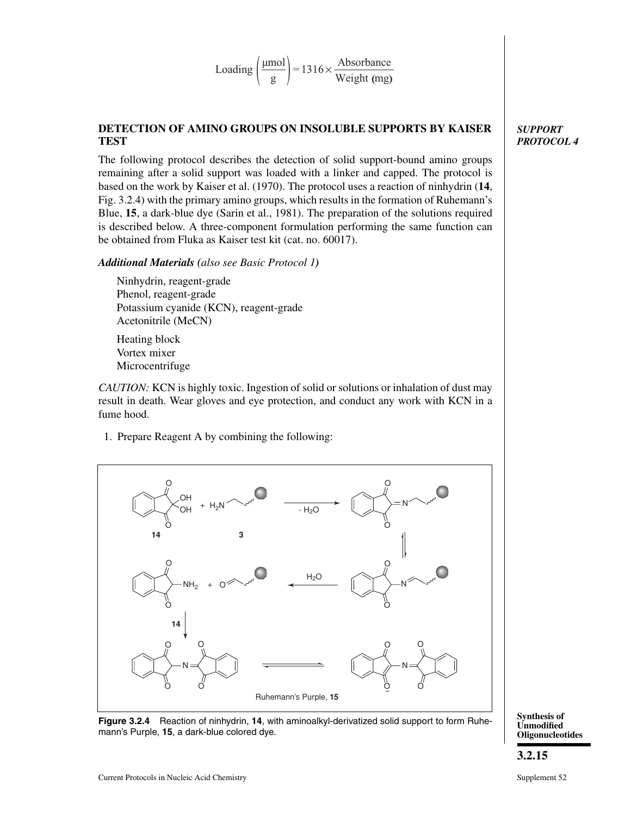Loading  $\left(\frac{\mu \text{mol}}{g}\right) = 1316 \times \frac{\text{Absorbance}}{\text{Weight (mg)}}$ 

# **DETECTION OF AMINO GROUPS ON INSOLUBLE SUPPORTS BY KAISER TEST**

The following protocol describes the detection of solid support-bound amino groups remaining after a solid support was loaded with a linker and capped. The protocol is based on the work by Kaiser et al. (1970). The protocol uses a reaction of ninhydrin (**14**, Fig. 3.2.4) with the primary amino groups, which results in the formation of Ruhemann's Blue, **15**, a dark-blue dye (Sarin et al., 1981). The preparation of the solutions required is described below. A three-component formulation performing the same function can be obtained from Fluka as Kaiser test kit (cat. no. 60017).

*Additional Materials (also see Basic Protocol 1)*

Ninhydrin, reagent-grade Phenol, reagent-grade Potassium cyanide (KCN), reagent-grade Acetonitrile (MeCN)

Heating block Vortex mixer Microcentrifuge

*CAUTION:* KCN is highly toxic. Ingestion of solid or solutions or inhalation of dust may result in death. Wear gloves and eye protection, and conduct any work with KCN in a fume hood.

1. Prepare Reagent A by combining the following:



**Figure 3.2.4** Reaction of ninhydrin, **14**, with aminoalkyl-derivatized solid support to form Ruhemann's Purple, **15**, a dark-blue colored dye.

*SUPPORT PROTOCOL 4*

**Synthesis of Unmodified Oligonucleotides**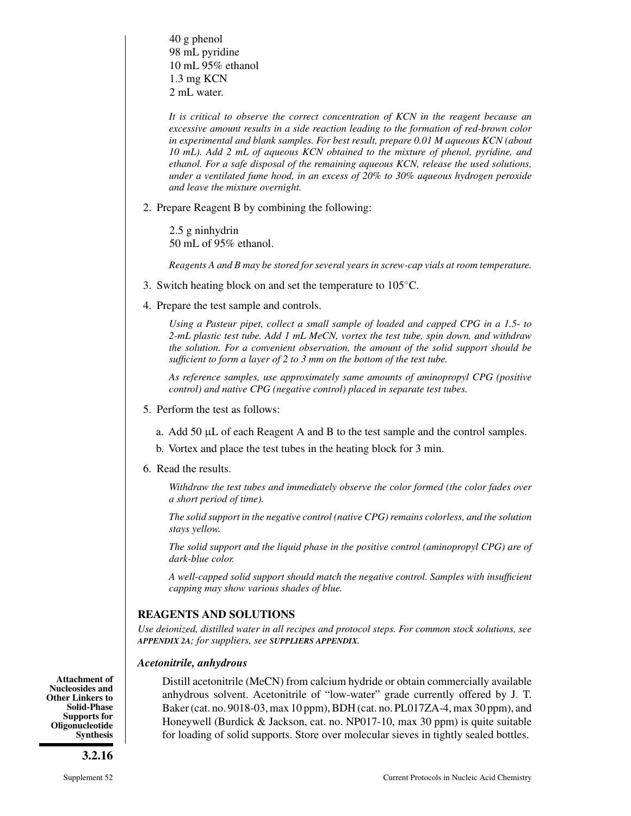|  | 40 g phenol<br>98 mL pyridine<br>10 mL 95% ethanol<br>1.3 mg KCN<br>2 mL water.                                                                                                                                                                                                                                                                                                                                                                                                                                                                                                     |
|--|-------------------------------------------------------------------------------------------------------------------------------------------------------------------------------------------------------------------------------------------------------------------------------------------------------------------------------------------------------------------------------------------------------------------------------------------------------------------------------------------------------------------------------------------------------------------------------------|
|  | It is critical to observe the correct concentration of KCN in the reagent because an<br>excessive amount results in a side reaction leading to the formation of red-brown color<br>in experimental and blank samples. For best result, prepare 0.01 M aqueous KCN (about<br>10 mL). Add 2 mL of aqueous KCN obtained to the mixture of phenol, pyridine, and<br>ethanol. For a safe disposal of the remaining aqueous KCN, release the used solutions,<br>under a ventilated fume hood, in an excess of $20\%$ to 30% aqueous hydrogen peroxide<br>and leave the mixture overnight. |
|  | 2. Prepare Reagent B by combining the following:                                                                                                                                                                                                                                                                                                                                                                                                                                                                                                                                    |
|  | 2.5 g ninhydrin<br>50 mL of 95% ethanol.                                                                                                                                                                                                                                                                                                                                                                                                                                                                                                                                            |
|  | Reagents A and B may be stored for several years in screw-cap vials at room temperature.                                                                                                                                                                                                                                                                                                                                                                                                                                                                                            |
|  | 3. Switch heating block on and set the temperature to $105^{\circ}$ C.                                                                                                                                                                                                                                                                                                                                                                                                                                                                                                              |
|  | 4. Prepare the test sample and controls.                                                                                                                                                                                                                                                                                                                                                                                                                                                                                                                                            |
|  | Using a Pasteur pipet, collect a small sample of loaded and capped CPG in a 1.5- to<br>2-mL plastic test tube. Add 1 mL MeCN, vortex the test tube, spin down, and withdraw<br>the solution. For a convenient observation, the amount of the solid support should be<br>sufficient to form a layer of $2$ to $3$ mm on the bottom of the test tube.                                                                                                                                                                                                                                 |

*As reference samples, use approximately same amounts of aminopropyl CPG (positive control) and native CPG (negative control) placed in separate test tubes.*

5. Perform the test as follows:

a. Add 50 μL of each Reagent A and B to the test sample and the control samples.

b. Vortex and place the test tubes in the heating block for 3 min.

6. Read the results.

*Withdraw the test tubes and immediately observe the color formed (the color fades over a short period of time).*

*The solid support in the negative control (native CPG) remains colorless, and the solution stays yellow.*

*The solid support and the liquid phase in the positive control (aminopropyl CPG) are of dark-blue color.*

*A well-capped solid support should match the negative control. Samples with insufficient capping may show various shades of blue.*

#### **REAGENTS AND SOLUTIONS**

*Use deionized, distilled water in all recipes and protocol steps. For common stock solutions, see APPENDIX 2A; for suppliers, see SUPPLIERS APPENDIX.*

#### *Acetonitrile, anhydrous*

Distill acetonitrile (MeCN) from calcium hydride or obtain commercially available anhydrous solvent. Acetonitrile of "low-water" grade currently offered by J. T. Baker (cat. no. 9018-03, max 10 ppm), BDH (cat. no. PL017ZA-4, max 30 ppm), and Honeywell (Burdick & Jackson, cat. no. NP017-10, max 30 ppm) is quite suitable for loading of solid supports. Store over molecular sieves in tightly sealed bottles.

**Attachment of Nucleosides and Other Linkers to Solid-Phase Supports for Oligonucleotide Synthesis**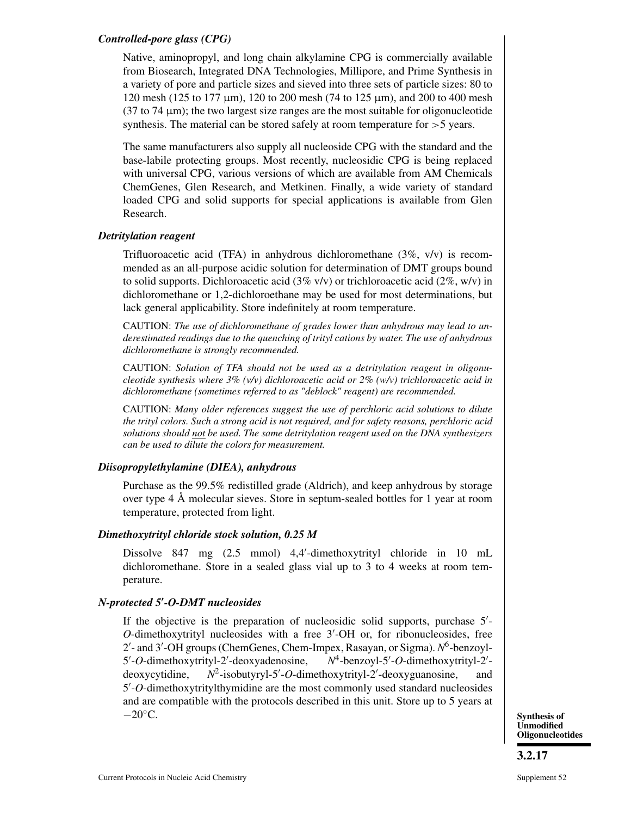# *Controlled-pore glass (CPG)*

Native, aminopropyl, and long chain alkylamine CPG is commercially available from Biosearch, Integrated DNA Technologies, Millipore, and Prime Synthesis in a variety of pore and particle sizes and sieved into three sets of particle sizes: 80 to 120 mesh (125 to 177 μm), 120 to 200 mesh (74 to 125 μm), and 200 to 400 mesh (37 to 74 μm); the two largest size ranges are the most suitable for oligonucleotide synthesis. The material can be stored safely at room temperature for  $>$  5 years.

The same manufacturers also supply all nucleoside CPG with the standard and the base-labile protecting groups. Most recently, nucleosidic CPG is being replaced with universal CPG, various versions of which are available from AM Chemicals ChemGenes, Glen Research, and Metkinen. Finally, a wide variety of standard loaded CPG and solid supports for special applications is available from Glen Research.

# *Detritylation reagent*

Trifluoroacetic acid (TFA) in anhydrous dichloromethane (3%, v/v) is recommended as an all-purpose acidic solution for determination of DMT groups bound to solid supports. Dichloroacetic acid  $(3\% \text{ v/v})$  or trichloroacetic acid  $(2\%, \text{w/v})$  in dichloromethane or 1,2-dichloroethane may be used for most determinations, but lack general applicability. Store indefinitely at room temperature.

CAUTION: *The use of dichloromethane of grades lower than anhydrous may lead to underestimated readings due to the quenching of trityl cations by water. The use of anhydrous dichloromethane is strongly recommended.*

CAUTION: *Solution of TFA should not be used as a detritylation reagent in oligonucleotide synthesis where 3% (v/v) dichloroacetic acid or 2% (w/v) trichloroacetic acid in dichloromethane (sometimes referred to as "deblock" reagent) are recommended.*

CAUTION: *Many older references suggest the use of perchloric acid solutions to dilute the trityl colors. Such a strong acid is not required, and for safety reasons, perchloric acid solutions should not be used. The same detritylation reagent used on the DNA synthesizers can be used to dilute the colors for measurement.*

# *Diisopropylethylamine (DIEA), anhydrous*

Purchase as the 99.5% redistilled grade (Aldrich), and keep anhydrous by storage over type 4 Å molecular sieves. Store in septum-sealed bottles for 1 year at room temperature, protected from light.

## *Dimethoxytrityl chloride stock solution, 0.25 M*

Dissolve 847 mg (2.5 mmol) 4,4'-dimethoxytrityl chloride in 10 mL dichloromethane. Store in a sealed glass vial up to 3 to 4 weeks at room temperature.

# *N-protected 5***-** *-O-DMT nucleosides*

If the objective is the preparation of nucleosidic solid supports, purchase 5'-O-dimethoxytrityl nucleosides with a free 3'-OH or, for ribonucleosides, free 2'- and 3'-OH groups (ChemGenes, Chem-Impex, Rasayan, or Sigma). *N*<sup>6</sup>-benzoyl-5'-O-dimethoxytrityl-2'-deoxyadenosine,  $N^4$ -benzoyl-5' -*O*-dimethoxytrityl-2- deoxycytidine,  $N^2$ -isobutyryl-5'-O-dimethoxytrityl-2'-deoxyguanosine, and 5- -*O*-dimethoxytritylthymidine are the most commonly used standard nucleosides and are compatible with the protocols described in this unit. Store up to 5 years at  $-20^\circ$ C.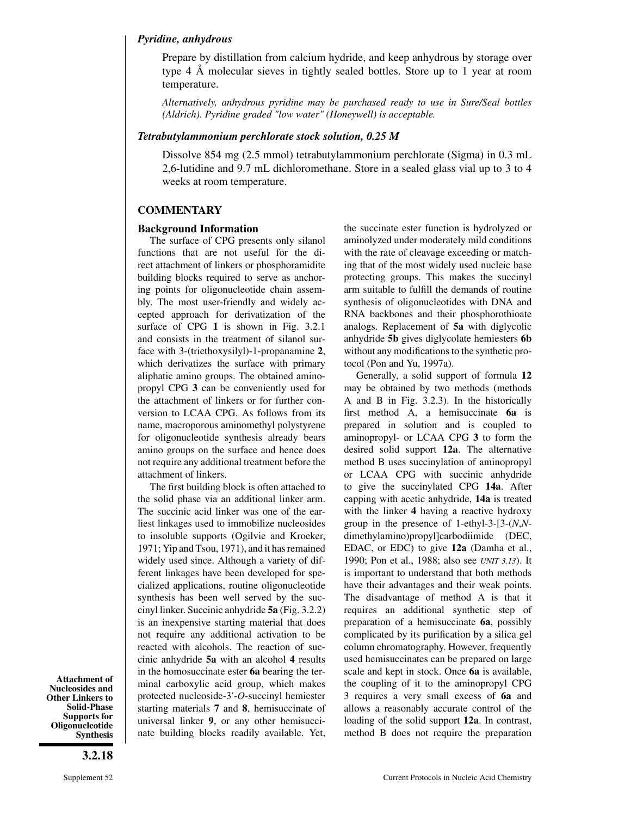## *Pyridine, anhydrous*

Prepare by distillation from calcium hydride, and keep anhydrous by storage over type 4 Å molecular sieves in tightly sealed bottles. Store up to 1 year at room temperature.

*Alternatively, anhydrous pyridine may be purchased ready to use in Sure/Seal bottles (Aldrich). Pyridine graded "low water" (Honeywell) is acceptable.*

#### *Tetrabutylammonium perchlorate stock solution, 0.25 M*

Dissolve 854 mg (2.5 mmol) tetrabutylammonium perchlorate (Sigma) in 0.3 mL 2,6-lutidine and 9.7 mL dichloromethane. Store in a sealed glass vial up to 3 to 4 weeks at room temperature.

# **COMMENTARY**

## **Background Information**

The surface of CPG presents only silanol functions that are not useful for the direct attachment of linkers or phosphoramidite building blocks required to serve as anchoring points for oligonucleotide chain assembly. The most user-friendly and widely accepted approach for derivatization of the surface of CPG **1** is shown in Fig. 3.2.1 and consists in the treatment of silanol surface with 3-(triethoxysilyl)-1-propanamine **2**, which derivatizes the surface with primary aliphatic amino groups. The obtained aminopropyl CPG **3** can be conveniently used for the attachment of linkers or for further conversion to LCAA CPG. As follows from its name, macroporous aminomethyl polystyrene for oligonucleotide synthesis already bears amino groups on the surface and hence does not require any additional treatment before the attachment of linkers.

The first building block is often attached to the solid phase via an additional linker arm. The succinic acid linker was one of the earliest linkages used to immobilize nucleosides to insoluble supports (Ogilvie and Kroeker, 1971; Yip and Tsou, 1971), and it has remained widely used since. Although a variety of different linkages have been developed for specialized applications, routine oligonucleotide synthesis has been well served by the succinyl linker. Succinic anhydride **5a** (Fig. 3.2.2) is an inexpensive starting material that does not require any additional activation to be reacted with alcohols. The reaction of succinic anhydride **5a** with an alcohol **4** results in the homosuccinate ester **6a** bearing the terminal carboxylic acid group, which makes protected nucleoside-3- -*O*-succinyl hemiester starting materials **7** and **8**, hemisuccinate of universal linker **9**, or any other hemisuccinate building blocks readily available. Yet, the succinate ester function is hydrolyzed or aminolyzed under moderately mild conditions with the rate of cleavage exceeding or matching that of the most widely used nucleic base protecting groups. This makes the succinyl arm suitable to fulfill the demands of routine synthesis of oligonucleotides with DNA and RNA backbones and their phosphorothioate analogs. Replacement of **5a** with diglycolic anhydride **5b** gives diglycolate hemiesters **6b** without any modifications to the synthetic protocol (Pon and Yu, 1997a).

Generally, a solid support of formula **12** may be obtained by two methods (methods A and B in Fig. 3.2.3). In the historically first method A, a hemisuccinate **6a** is prepared in solution and is coupled to aminopropyl- or LCAA CPG **3** to form the desired solid support **12a**. The alternative method B uses succinylation of aminopropyl or LCAA CPG with succinic anhydride to give the succinylated CPG **14a**. After capping with acetic anhydride, **14a** is treated with the linker **4** having a reactive hydroxy group in the presence of 1-ethyl-3-[3-(*N*,*N*dimethylamino)propyl]carbodiimide (DEC, EDAC, or EDC) to give **12a** (Damha et al., 1990; Pon et al., 1988; also see *UNIT 3.13*). It is important to understand that both methods have their advantages and their weak points. The disadvantage of method A is that it requires an additional synthetic step of preparation of a hemisuccinate **6a**, possibly complicated by its purification by a silica gel column chromatography. However, frequently used hemisuccinates can be prepared on large scale and kept in stock. Once **6a** is available, the coupling of it to the aminopropyl CPG 3 requires a very small excess of **6a** and allows a reasonably accurate control of the loading of the solid support **12a**. In contrast, method B does not require the preparation

**Attachment of Nucleosides and Other Linkers to Solid-Phase Supports for Oligonucleotide Synthesis**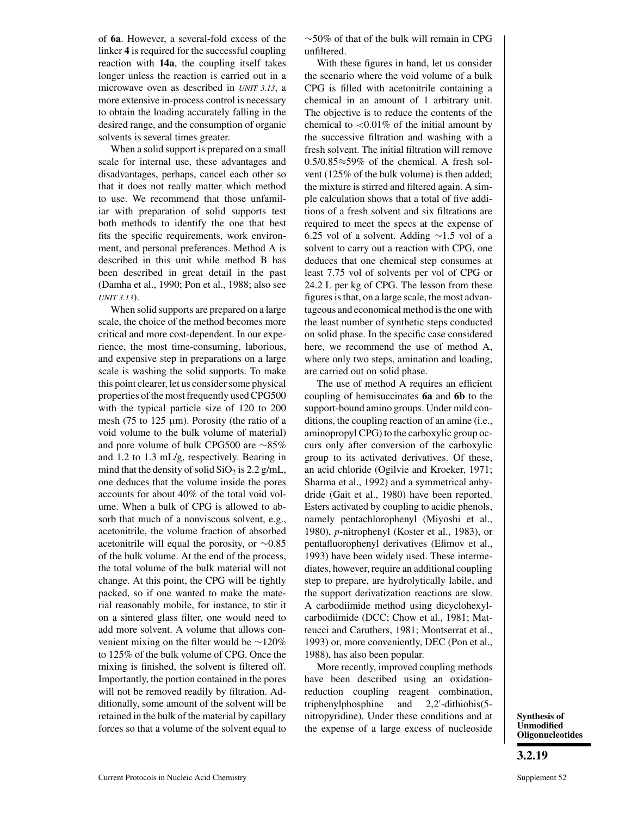of **6a**. However, a several-fold excess of the linker **4** is required for the successful coupling reaction with **14a**, the coupling itself takes longer unless the reaction is carried out in a microwave oven as described in *UNIT 3.13*, a more extensive in-process control is necessary to obtain the loading accurately falling in the desired range, and the consumption of organic solvents is several times greater.

When a solid support is prepared on a small scale for internal use, these advantages and disadvantages, perhaps, cancel each other so that it does not really matter which method to use. We recommend that those unfamiliar with preparation of solid supports test both methods to identify the one that best fits the specific requirements, work environment, and personal preferences. Method A is described in this unit while method B has been described in great detail in the past (Damha et al., 1990; Pon et al., 1988; also see *UNIT 3.13*).

When solid supports are prepared on a large scale, the choice of the method becomes more critical and more cost-dependent. In our experience, the most time-consuming, laborious, and expensive step in preparations on a large scale is washing the solid supports. To make this point clearer, let us consider some physical properties of the most frequently used CPG500 with the typical particle size of 120 to 200 mesh (75 to 125  $\mu$ m). Porosity (the ratio of a void volume to the bulk volume of material) and pore volume of bulk CPG500 are ∼85% and 1.2 to 1.3 mL/g, respectively. Bearing in mind that the density of solid  $SiO<sub>2</sub>$  is 2.2 g/mL, one deduces that the volume inside the pores accounts for about 40% of the total void volume. When a bulk of CPG is allowed to absorb that much of a nonviscous solvent, e.g., acetonitrile, the volume fraction of absorbed acetonitrile will equal the porosity, or ∼0.85 of the bulk volume. At the end of the process, the total volume of the bulk material will not change. At this point, the CPG will be tightly packed, so if one wanted to make the material reasonably mobile, for instance, to stir it on a sintered glass filter, one would need to add more solvent. A volume that allows convenient mixing on the filter would be ∼120% to 125% of the bulk volume of CPG. Once the mixing is finished, the solvent is filtered off. Importantly, the portion contained in the pores will not be removed readily by filtration. Additionally, some amount of the solvent will be retained in the bulk of the material by capillary forces so that a volume of the solvent equal to  $~\sim$ 50% of that of the bulk will remain in CPG unfiltered.

With these figures in hand, let us consider the scenario where the void volume of a bulk CPG is filled with acetonitrile containing a chemical in an amount of 1 arbitrary unit. The objective is to reduce the contents of the chemical to  $< 0.01\%$  of the initial amount by the successive filtration and washing with a fresh solvent. The initial filtration will remove  $0.5/0.85 \approx 59\%$  of the chemical. A fresh solvent (125% of the bulk volume) is then added; the mixture is stirred and filtered again. A simple calculation shows that a total of five additions of a fresh solvent and six filtrations are required to meet the specs at the expense of 6.25 vol of a solvent. Adding ∼1.5 vol of a solvent to carry out a reaction with CPG, one deduces that one chemical step consumes at least 7.75 vol of solvents per vol of CPG or 24.2 L per kg of CPG. The lesson from these figures is that, on a large scale, the most advantageous and economical method is the one with the least number of synthetic steps conducted on solid phase. In the specific case considered here, we recommend the use of method A, where only two steps, amination and loading, are carried out on solid phase.

The use of method A requires an efficient coupling of hemisuccinates **6a** and **6b** to the support-bound amino groups. Under mild conditions, the coupling reaction of an amine (i.e., aminopropyl CPG) to the carboxylic group occurs only after conversion of the carboxylic group to its activated derivatives. Of these, an acid chloride (Ogilvie and Kroeker, 1971; Sharma et al., 1992) and a symmetrical anhydride (Gait et al., 1980) have been reported. Esters activated by coupling to acidic phenols, namely pentachlorophenyl (Miyoshi et al., 1980), *p*-nitrophenyl (Koster et al., 1983), or pentafluorophenyl derivatives (Efimov et al., 1993) have been widely used. These intermediates, however, require an additional coupling step to prepare, are hydrolytically labile, and the support derivatization reactions are slow. A carbodiimide method using dicyclohexylcarbodiimide (DCC; Chow et al., 1981; Matteucci and Caruthers, 1981; Montserrat et al., 1993) or, more conveniently, DEC (Pon et al., 1988), has also been popular.

More recently, improved coupling methods have been described using an oxidationreduction coupling reagent combination, triphenylphosphine and -dithiobis(5 nitropyridine). Under these conditions and at the expense of a large excess of nucleoside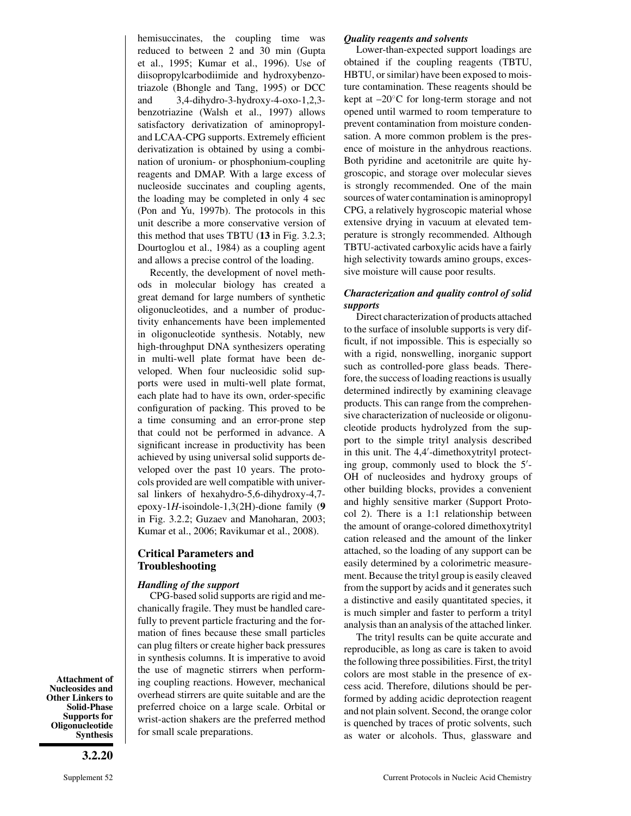hemisuccinates, the coupling time was reduced to between 2 and 30 min (Gupta et al., 1995; Kumar et al., 1996). Use of diisopropylcarbodiimide and hydroxybenzotriazole (Bhongle and Tang, 1995) or DCC and 3,4-dihydro-3-hydroxy-4-oxo-1,2,3 benzotriazine (Walsh et al., 1997) allows satisfactory derivatization of aminopropyland LCAA-CPG supports. Extremely efficient derivatization is obtained by using a combination of uronium- or phosphonium-coupling reagents and DMAP. With a large excess of nucleoside succinates and coupling agents, the loading may be completed in only 4 sec (Pon and Yu, 1997b). The protocols in this unit describe a more conservative version of this method that uses TBTU (**13** in Fig. 3.2.3; Dourtoglou et al., 1984) as a coupling agent and allows a precise control of the loading.

Recently, the development of novel methods in molecular biology has created a great demand for large numbers of synthetic oligonucleotides, and a number of productivity enhancements have been implemented in oligonucleotide synthesis. Notably, new high-throughput DNA synthesizers operating in multi-well plate format have been developed. When four nucleosidic solid supports were used in multi-well plate format, each plate had to have its own, order-specific configuration of packing. This proved to be a time consuming and an error-prone step that could not be performed in advance. A significant increase in productivity has been achieved by using universal solid supports developed over the past 10 years. The protocols provided are well compatible with universal linkers of hexahydro-5,6-dihydroxy-4,7 epoxy-1*H*-isoindole-1,3(2H)-dione family (**9** in Fig. 3.2.2; Guzaev and Manoharan, 2003; Kumar et al., 2006; Ravikumar et al., 2008).

#### **Critical Parameters and Troubleshooting**

#### *Handling of the support*

CPG-based solid supports are rigid and mechanically fragile. They must be handled carefully to prevent particle fracturing and the formation of fines because these small particles can plug filters or create higher back pressures in synthesis columns. It is imperative to avoid the use of magnetic stirrers when performing coupling reactions. However, mechanical overhead stirrers are quite suitable and are the preferred choice on a large scale. Orbital or wrist-action shakers are the preferred method for small scale preparations.

#### *Quality reagents and solvents*

Lower-than-expected support loadings are obtained if the coupling reagents (TBTU, HBTU, or similar) have been exposed to moisture contamination. These reagents should be kept at –20◦C for long-term storage and not opened until warmed to room temperature to prevent contamination from moisture condensation. A more common problem is the presence of moisture in the anhydrous reactions. Both pyridine and acetonitrile are quite hygroscopic, and storage over molecular sieves is strongly recommended. One of the main sources of water contamination is aminopropyl CPG, a relatively hygroscopic material whose extensive drying in vacuum at elevated temperature is strongly recommended. Although TBTU-activated carboxylic acids have a fairly high selectivity towards amino groups, excessive moisture will cause poor results.

#### *Characterization and quality control of solid supports*

Direct characterization of products attached to the surface of insoluble supports is very difficult, if not impossible. This is especially so with a rigid, nonswelling, inorganic support such as controlled-pore glass beads. Therefore, the success of loading reactions is usually determined indirectly by examining cleavage products. This can range from the comprehensive characterization of nucleoside or oligonucleotide products hydrolyzed from the support to the simple trityl analysis described in this unit. The 4,4'-dimethoxytrityl protecting group, commonly used to block the 5'-OH of nucleosides and hydroxy groups of other building blocks, provides a convenient and highly sensitive marker (Support Protocol 2). There is a 1:1 relationship between the amount of orange-colored dimethoxytrityl cation released and the amount of the linker attached, so the loading of any support can be easily determined by a colorimetric measurement. Because the trityl group is easily cleaved from the support by acids and it generates such a distinctive and easily quantitated species, it is much simpler and faster to perform a trityl analysis than an analysis of the attached linker.

The trityl results can be quite accurate and reproducible, as long as care is taken to avoid the following three possibilities. First, the trityl colors are most stable in the presence of excess acid. Therefore, dilutions should be performed by adding acidic deprotection reagent and not plain solvent. Second, the orange color is quenched by traces of protic solvents, such as water or alcohols. Thus, glassware and

**Attachment of Nucleosides and Other Linkers to Solid-Phase Supports for Oligonucleotide Synthesis**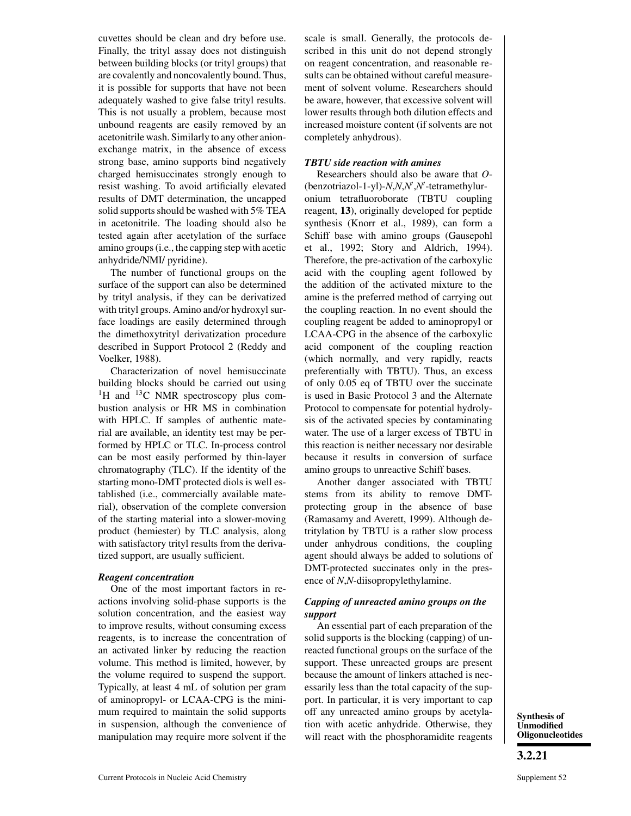cuvettes should be clean and dry before use. Finally, the trityl assay does not distinguish between building blocks (or trityl groups) that are covalently and noncovalently bound. Thus, it is possible for supports that have not been adequately washed to give false trityl results. This is not usually a problem, because most unbound reagents are easily removed by an acetonitrile wash. Similarly to any other anionexchange matrix, in the absence of excess strong base, amino supports bind negatively charged hemisuccinates strongly enough to resist washing. To avoid artificially elevated results of DMT determination, the uncapped solid supports should be washed with 5% TEA in acetonitrile. The loading should also be tested again after acetylation of the surface amino groups (i.e., the capping step with acetic anhydride/NMI/ pyridine).

The number of functional groups on the surface of the support can also be determined by trityl analysis, if they can be derivatized with trityl groups. Amino and/or hydroxyl surface loadings are easily determined through the dimethoxytrityl derivatization procedure described in Support Protocol 2 (Reddy and Voelker, 1988).

Characterization of novel hemisuccinate building blocks should be carried out using  ${}^{1}$ H and  ${}^{13}$ C NMR spectroscopy plus combustion analysis or HR MS in combination with HPLC. If samples of authentic material are available, an identity test may be performed by HPLC or TLC. In-process control can be most easily performed by thin-layer chromatography (TLC). If the identity of the starting mono-DMT protected diols is well established (i.e., commercially available material), observation of the complete conversion of the starting material into a slower-moving product (hemiester) by TLC analysis, along with satisfactory trityl results from the derivatized support, are usually sufficient.

#### *Reagent concentration*

One of the most important factors in reactions involving solid-phase supports is the solution concentration, and the easiest way to improve results, without consuming excess reagents, is to increase the concentration of an activated linker by reducing the reaction volume. This method is limited, however, by the volume required to suspend the support. Typically, at least 4 mL of solution per gram of aminopropyl- or LCAA-CPG is the minimum required to maintain the solid supports in suspension, although the convenience of manipulation may require more solvent if the scale is small. Generally, the protocols described in this unit do not depend strongly on reagent concentration, and reasonable results can be obtained without careful measurement of solvent volume. Researchers should be aware, however, that excessive solvent will lower results through both dilution effects and increased moisture content (if solvents are not completely anhydrous).

#### *TBTU side reaction with amines*

Researchers should also be aware that *O*- (benzotriazol-1-yl)-*N*,*N*,*N'*,*N'*-tetramethyluronium tetrafluoroborate (TBTU coupling reagent, **13**), originally developed for peptide synthesis (Knorr et al., 1989), can form a Schiff base with amino groups (Gausepohl et al., 1992; Story and Aldrich, 1994). Therefore, the pre-activation of the carboxylic acid with the coupling agent followed by the addition of the activated mixture to the amine is the preferred method of carrying out the coupling reaction. In no event should the coupling reagent be added to aminopropyl or LCAA-CPG in the absence of the carboxylic acid component of the coupling reaction (which normally, and very rapidly, reacts preferentially with TBTU). Thus, an excess of only 0.05 eq of TBTU over the succinate is used in Basic Protocol 3 and the Alternate Protocol to compensate for potential hydrolysis of the activated species by contaminating water. The use of a larger excess of TBTU in this reaction is neither necessary nor desirable because it results in conversion of surface amino groups to unreactive Schiff bases.

Another danger associated with TBTU stems from its ability to remove DMTprotecting group in the absence of base (Ramasamy and Averett, 1999). Although detritylation by TBTU is a rather slow process under anhydrous conditions, the coupling agent should always be added to solutions of DMT-protected succinates only in the presence of *N*,*N*-diisopropylethylamine.

#### *Capping of unreacted amino groups on the support*

An essential part of each preparation of the solid supports is the blocking (capping) of unreacted functional groups on the surface of the support. These unreacted groups are present because the amount of linkers attached is necessarily less than the total capacity of the support. In particular, it is very important to cap off any unreacted amino groups by acetylation with acetic anhydride. Otherwise, they will react with the phosphoramidite reagents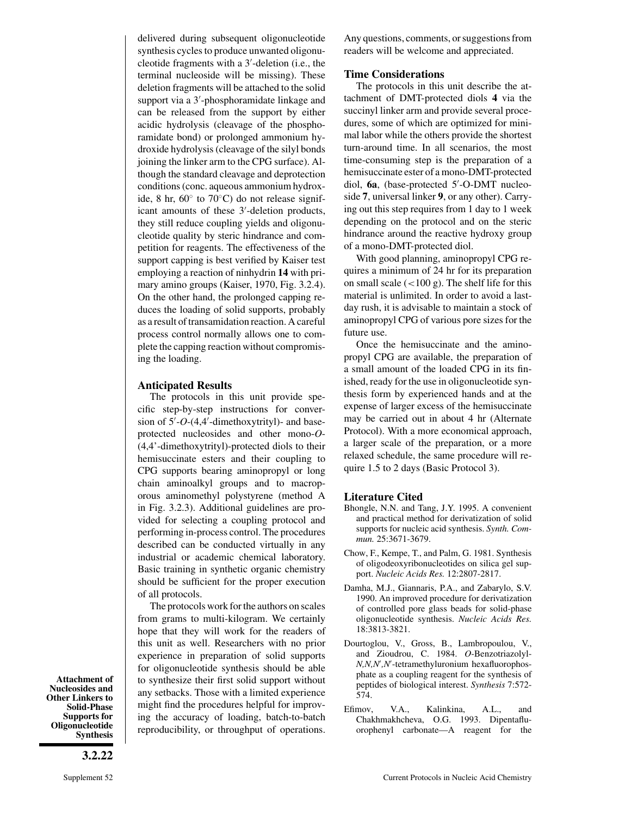delivered during subsequent oligonucleotide synthesis cycles to produce unwanted oligonucleotide fragments with a 3'-deletion (i.e., the terminal nucleoside will be missing). These deletion fragments will be attached to the solid support via a 3'-phosphoramidate linkage and can be released from the support by either acidic hydrolysis (cleavage of the phosphoramidate bond) or prolonged ammonium hydroxide hydrolysis (cleavage of the silyl bonds joining the linker arm to the CPG surface). Although the standard cleavage and deprotection conditions (conc. aqueous ammonium hydroxide, 8 hr,  $60°$  to  $70°$ C) do not release significant amounts of these 3'-deletion products, they still reduce coupling yields and oligonucleotide quality by steric hindrance and competition for reagents. The effectiveness of the support capping is best verified by Kaiser test employing a reaction of ninhydrin **14** with primary amino groups (Kaiser, 1970, Fig. 3.2.4). On the other hand, the prolonged capping reduces the loading of solid supports, probably as a result of transamidation reaction. A careful process control normally allows one to complete the capping reaction without compromising the loading.

#### **Anticipated Results**

The protocols in this unit provide specific step-by-step instructions for conversion of 5'-O-(4,4'-dimethoxytrityl)- and baseprotected nucleosides and other mono-*O*- (4,4'-dimethoxytrityl)-protected diols to their hemisuccinate esters and their coupling to CPG supports bearing aminopropyl or long chain aminoalkyl groups and to macroporous aminomethyl polystyrene (method A in Fig. 3.2.3). Additional guidelines are provided for selecting a coupling protocol and performing in-process control. The procedures described can be conducted virtually in any industrial or academic chemical laboratory. Basic training in synthetic organic chemistry should be sufficient for the proper execution of all protocols.

The protocols work for the authors on scales from grams to multi-kilogram. We certainly hope that they will work for the readers of this unit as well. Researchers with no prior experience in preparation of solid supports for oligonucleotide synthesis should be able to synthesize their first solid support without any setbacks. Those with a limited experience might find the procedures helpful for improving the accuracy of loading, batch-to-batch reproducibility, or throughput of operations.

Any questions, comments, or suggestions from readers will be welcome and appreciated.

#### **Time Considerations**

The protocols in this unit describe the attachment of DMT-protected diols **4** via the succinyl linker arm and provide several procedures, some of which are optimized for minimal labor while the others provide the shortest turn-around time. In all scenarios, the most time-consuming step is the preparation of a hemisuccinate ester of a mono-DMT-protected diol, 6a, (base-protected 5'-O-DMT nucleoside **7**, universal linker **9**, or any other). Carrying out this step requires from 1 day to 1 week depending on the protocol and on the steric hindrance around the reactive hydroxy group of a mono-DMT-protected diol.

With good planning, aminopropyl CPG requires a minimum of 24 hr for its preparation on small scale  $\left($  < 100 g). The shelf life for this material is unlimited. In order to avoid a lastday rush, it is advisable to maintain a stock of aminopropyl CPG of various pore sizes for the future use.

Once the hemisuccinate and the aminopropyl CPG are available, the preparation of a small amount of the loaded CPG in its finished, ready for the use in oligonucleotide synthesis form by experienced hands and at the expense of larger excess of the hemisuccinate may be carried out in about 4 hr (Alternate Protocol). With a more economical approach, a larger scale of the preparation, or a more relaxed schedule, the same procedure will require 1.5 to 2 days (Basic Protocol 3).

#### **Literature Cited**

- Bhongle, N.N. and Tang, J.Y. 1995. A convenient and practical method for derivatization of solid supports for nucleic acid synthesis. *Synth. Commun.* 25:3671-3679.
- Chow, F., Kempe, T., and Palm, G. 1981. Synthesis of oligodeoxyribonucleotides on silica gel support. *Nucleic Acids Res.* 12:2807-2817.
- Damha, M.J., Giannaris, P.A., and Zabarylo, S.V. 1990. An improved procedure for derivatization of controlled pore glass beads for solid-phase oligonucleotide synthesis. *Nucleic Acids Res.* 18:3813-3821.
- Dourtoglou, V., Gross, B., Lambropoulou, V., and Zioudrou, C. 1984. *O*-Benzotriazolyl-N,N,N',N'-tetramethyluronium hexafluorophosphate as a coupling reagent for the synthesis of peptides of biological interest. *Synthesis* 7:572- 574.
- Efimov, V.A., Kalinkina, A.L., and Chakhmakhcheva, O.G. 1993. Dipentafluorophenyl carbonate—A reagent for the

**Attachment of Nucleosides and Other Linkers to Solid-Phase Supports for Oligonucleotide Synthesis**